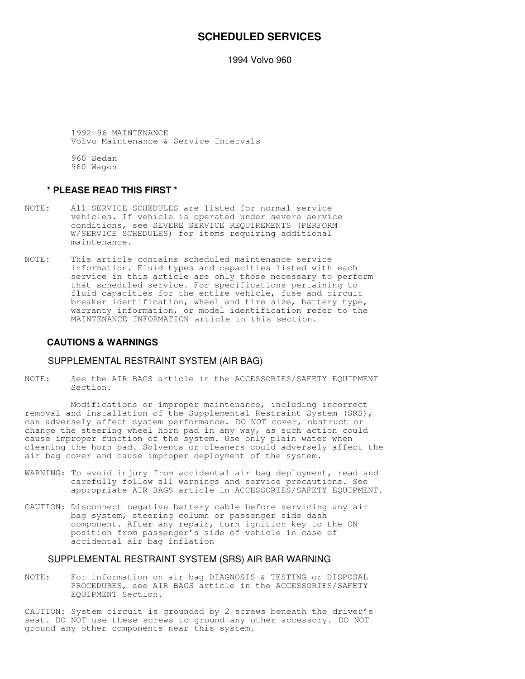## **SCHEDULED SERVICES**

1994 Volvo 960

 1992-96 MAINTENANCE Volvo Maintenance & Service Intervals

 960 Sedan 960 Wagon

## **\* PLEASE READ THIS FIRST \***

- NOTE: All SERVICE SCHEDULES are listed for normal service vehicles. If vehicle is operated under severe service conditions, see SEVERE SERVICE REQUIREMENTS (PERFORM W/SERVICE SCHEDULES) for items requiring additional maintenance.
- NOTE: This article contains scheduled maintenance service information. Fluid types and capacities listed with each service in this article are only those necessary to perform that scheduled service. For specifications pertaining to fluid capacities for the entire vehicle, fuse and circuit breaker identification, wheel and tire size, battery type, warranty information, or model identification refer to the MAINTENANCE INFORMATION article in this section.

#### **CAUTIONS & WARNINGS**

#### SUPPLEMENTAL RESTRAINT SYSTEM (AIR BAG)

NOTE: See the AIR BAGS article in the ACCESSORIES/SAFETY EQUIPMENT Section.

 Modifications or improper maintenance, including incorrect removal and installation of the Supplemental Restraint System (SRS), can adversely affect system performance. DO NOT cover, obstruct or change the steering wheel horn pad in any way, as such action could cause improper function of the system. Use only plain water when cleaning the horn pad. Solvents or cleaners could adversely affect the air bag cover and cause improper deployment of the system.

- WARNING: To avoid injury from accidental air bag deployment, read and carefully follow all warnings and service precautions. See appropriate AIR BAGS article in ACCESSORIES/SAFETY EQUIPMENT.
- CAUTION: Disconnect negative battery cable before servicing any air bag system, steering column or passenger side dash component. After any repair, turn ignition key to the ON position from passenger's side of vehicle in case of accidental air bag inflation

## SUPPLEMENTAL RESTRAINT SYSTEM (SRS) AIR BAR WARNING

NOTE: For information on air bag DIAGNOSIS & TESTING or DISPOSAL PROCEDURES, see AIR BAGS article in the ACCESSORIES/SAFETY EQUIPMENT Section.

CAUTION: System circuit is grounded by 2 screws beneath the driver's seat. DO NOT use these screws to ground any other accessory. DO NOT ground any other components near this system.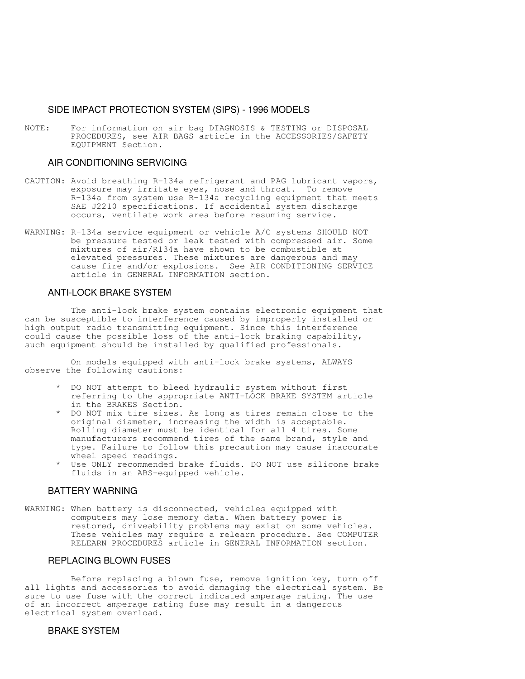## SIDE IMPACT PROTECTION SYSTEM (SIPS) - 1996 MODELS

NOTE: For information on air bag DIAGNOSIS & TESTING or DISPOSAL PROCEDURES, see AIR BAGS article in the ACCESSORIES/SAFETY EQUIPMENT Section.

## AIR CONDITIONING SERVICING

- CAUTION: Avoid breathing R-134a refrigerant and PAG lubricant vapors, exposure may irritate eyes, nose and throat. To remove R-134a from system use R-134a recycling equipment that meets SAE J2210 specifications. If accidental system discharge occurs, ventilate work area before resuming service.
- WARNING: R-134a service equipment or vehicle A/C systems SHOULD NOT be pressure tested or leak tested with compressed air. Some mixtures of air/R134a have shown to be combustible at elevated pressures. These mixtures are dangerous and may cause fire and/or explosions. See AIR CONDITIONING SERVICE article in GENERAL INFORMATION section.

## ANTI-LOCK BRAKE SYSTEM

 The anti-lock brake system contains electronic equipment that can be susceptible to interference caused by improperly installed or high output radio transmitting equipment. Since this interference could cause the possible loss of the anti-lock braking capability, such equipment should be installed by qualified professionals.

 On models equipped with anti-lock brake systems, ALWAYS observe the following cautions:

- DO NOT attempt to bleed hydraulic system without first referring to the appropriate ANTI-LOCK BRAKE SYSTEM article in the BRAKES Section.
- DO NOT mix tire sizes. As long as tires remain close to the original diameter, increasing the width is acceptable. Rolling diameter must be identical for all 4 tires. Some manufacturers recommend tires of the same brand, style and type. Failure to follow this precaution may cause inaccurate wheel speed readings.
- Use ONLY recommended brake fluids. DO NOT use silicone brake fluids in an ABS-equipped vehicle.

#### BATTERY WARNING

WARNING: When battery is disconnected, vehicles equipped with computers may lose memory data. When battery power is restored, driveability problems may exist on some vehicles. These vehicles may require a relearn procedure. See COMPUTER RELEARN PROCEDURES article in GENERAL INFORMATION section.

## REPLACING BLOWN FUSES

 Before replacing a blown fuse, remove ignition key, turn off all lights and accessories to avoid damaging the electrical system. Be sure to use fuse with the correct indicated amperage rating. The use of an incorrect amperage rating fuse may result in a dangerous electrical system overload.

## BRAKE SYSTEM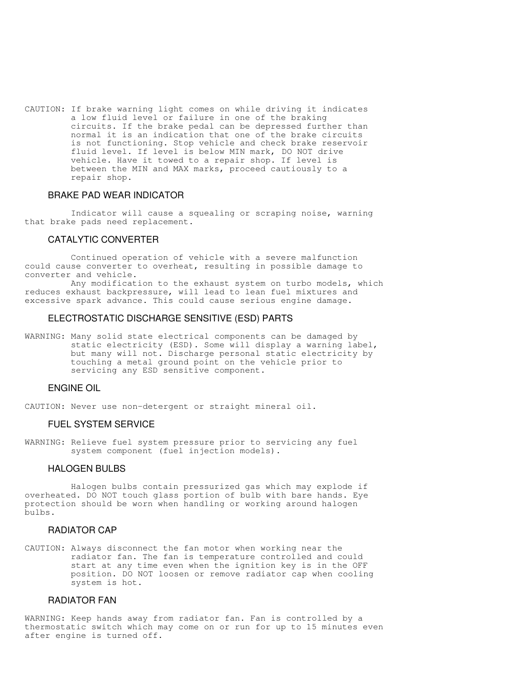CAUTION: If brake warning light comes on while driving it indicates a low fluid level or failure in one of the braking circuits. If the brake pedal can be depressed further than normal it is an indication that one of the brake circuits is not functioning. Stop vehicle and check brake reservoir fluid level. If level is below MIN mark, DO NOT drive vehicle. Have it towed to a repair shop. If level is between the MIN and MAX marks, proceed cautiously to a repair shop.

## BRAKE PAD WEAR INDICATOR

 Indicator will cause a squealing or scraping noise, warning that brake pads need replacement.

## CATALYTIC CONVERTER

 Continued operation of vehicle with a severe malfunction could cause converter to overheat, resulting in possible damage to converter and vehicle.

 Any modification to the exhaust system on turbo models, which reduces exhaust backpressure, will lead to lean fuel mixtures and excessive spark advance. This could cause serious engine damage.

## ELECTROSTATIC DISCHARGE SENSITIVE (ESD) PARTS

WARNING: Many solid state electrical components can be damaged by static electricity (ESD). Some will display a warning label, but many will not. Discharge personal static electricity by touching a metal ground point on the vehicle prior to servicing any ESD sensitive component.

## ENGINE OIL

CAUTION: Never use non-detergent or straight mineral oil.

## FUEL SYSTEM SERVICE

WARNING: Relieve fuel system pressure prior to servicing any fuel system component (fuel injection models).

### HALOGEN BULBS

 Halogen bulbs contain pressurized gas which may explode if overheated. DO NOT touch glass portion of bulb with bare hands. Eye protection should be worn when handling or working around halogen bulbs.

## RADIATOR CAP

CAUTION: Always disconnect the fan motor when working near the radiator fan. The fan is temperature controlled and could start at any time even when the ignition key is in the OFF position. DO NOT loosen or remove radiator cap when cooling system is hot.

## RADIATOR FAN

WARNING: Keep hands away from radiator fan. Fan is controlled by a thermostatic switch which may come on or run for up to 15 minutes even after engine is turned off.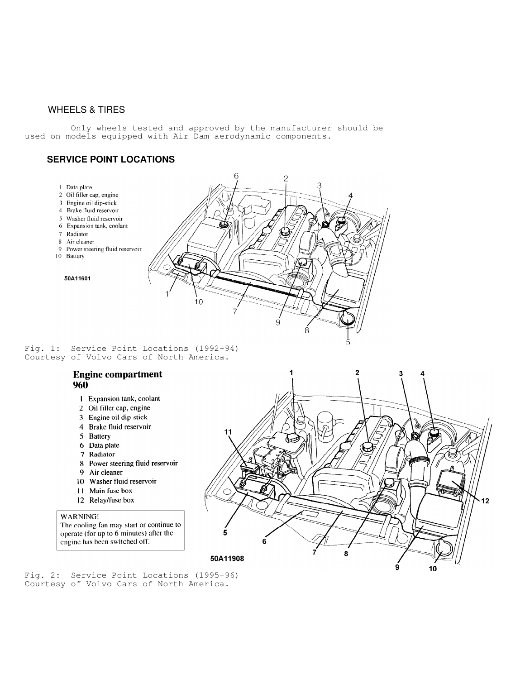## WHEELS & TIRES

 Only wheels tested and approved by the manufacturer should be used on models equipped with Air Dam aerodynamic components.

## **SERVICE POINT LOCATIONS**

- 1 Data plate
- 2 Oil filler cap, engine
- 3 Engine oil dip-stick
- 4 Brake fluid reservoir
- 5 Washer fluid reservoir
- 6 Expansion tank, coolant
- 7 Radiator
- 8 Air cleaner
- 9 Power steering fluid reservoir
- 10 Battery
	- 50A11601



Fig. 1: Service Point Locations (1992-94) Courtesy of Volvo Cars of North America.

## **Engine compartment** 960

- 1 Expansion tank, coolant
- 2 Oil filler cap, engine
- 3 Engine oil dip-stick
- 4 Brake fluid reservoir
- 5 Battery
- 6 Data plate
- 7 Radiator
- 8 Power steering fluid reservoir
- 9 Air cleaner
- 10 Washer fluid reservoir
- 11 Main fuse box
- 12 Relay/fuse box

#### WARNING!

The cooling fan may start or continue to operate (for up to 6 minutes) after the engine has been switched off.



Fig. 2: Service Point Locations (1995-96) Courtesy of Volvo Cars of North America.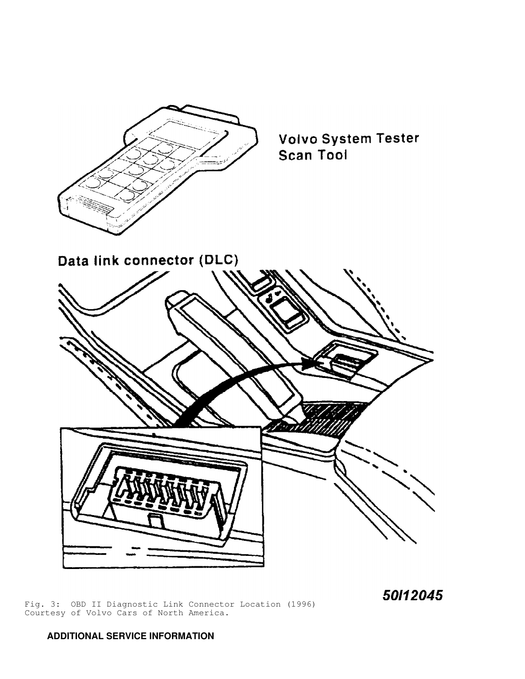

**Volvo System Tester** Scan Tool

Data link connector (DLC)



50112045

Fig. 3: OBD II Diagnostic Link Connector Location (1996) Courtesy of Volvo Cars of North America.

## **ADDITIONAL SERVICE INFORMATION**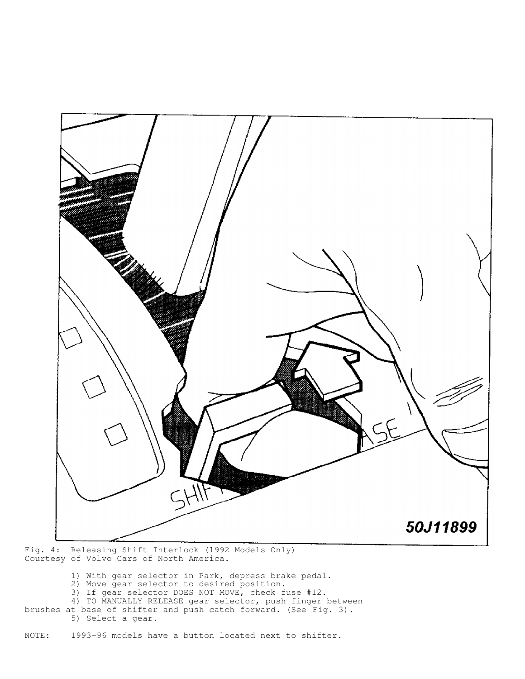

Fig. 4: Releasing Shift Interlock (1992 Models Only) Courtesy of Volvo Cars of North America.

- 1) With gear selector in Park, depress brake pedal.
- 2) Move gear selector to desired position.
- 3) If gear selector DOES NOT MOVE, check fuse #12.
- 4) TO MANUALLY RELEASE gear selector, push finger between
- brushes at base of shifter and push catch forward. (See Fig. 3). 5) Select a gear.

NOTE: 1993-96 models have a button located next to shifter.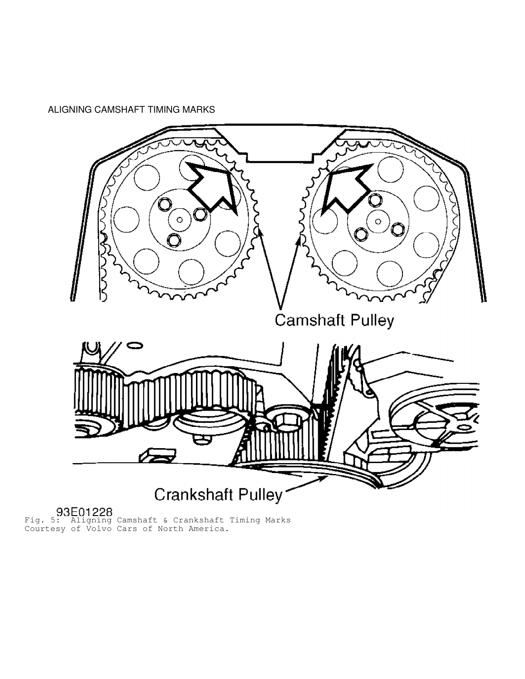ALIGNING CAMSHAFT TIMING MARKS



Fig. 5: Aligning Camshaft & Crankshaft Timing Marks Courtesy of Volvo Cars of North America.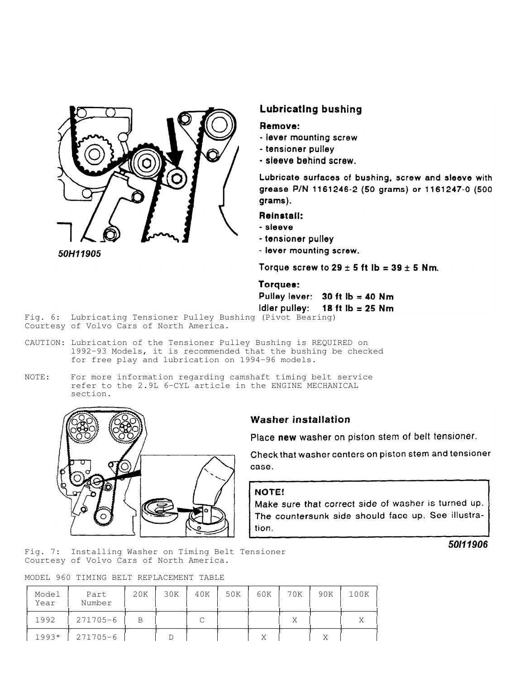

50H11905

## **Lubricating bushing**

## Remove:

- lever mounting screw
- tensioner pulley
- sleeve behind screw.

Lubricate surfaces of bushing, screw and sleeve with grease P/N 1161246-2 (50 grams) or 1161247-0 (500 grams).

## Reinstall:

- sleeve
- tensioner pulley
- lever mounting screw.

Torque screw to  $29 \pm 5$  ft lb = 39  $\pm 5$  Nm.

## Torques:

Pulley lever:  $30 \text{ ft lb} = 40 \text{ Nm}$ Idler pulley: 18 ft  $ib = 25$  Nm

Fig. 6: Lubricating Tensioner Pulley Bushing (Pivot Bearing) Courtesy of Volvo Cars of North America.

- CAUTION: Lubrication of the Tensioner Pulley Bushing is REQUIRED on 1992-93 Models, it is recommended that the bushing be checked for free play and lubrication on 1994-96 models.
- NOTE: For more information regarding camshaft timing belt service refer to the 2.9L 6-CYL article in the ENGINE MECHANICAL section.



## **Washer installation**

Place new washer on piston stem of belt tensioner.

Check that washer centers on piston stem and tensioner case.

## NOTE!

Make sure that correct side of washer is turned up. The countersunk side should face up. See illustration.

Fig. 7: Installing Washer on Timing Belt Tensioner Courtesy of Volvo Cars of North America.

MODEL 960 TIMING BELT REPLACEMENT TABLE

| Model<br>Year | Part<br>Number | 20K | 30K | 40K | 50K | 60K | 70K | 90K | 100K |
|---------------|----------------|-----|-----|-----|-----|-----|-----|-----|------|
| 1992          | 271705-6       |     |     |     |     |     | Χ   |     |      |
| $1993*$       | 271705-6       |     |     |     |     |     |     |     |      |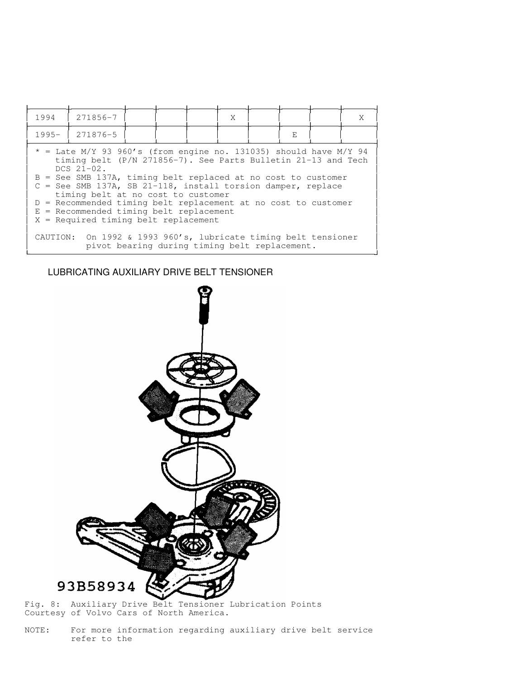| 271856-7<br>1994                                                                                                                                                                                                                                                                                                                                                                                                                                                                                                                                            |
|-------------------------------------------------------------------------------------------------------------------------------------------------------------------------------------------------------------------------------------------------------------------------------------------------------------------------------------------------------------------------------------------------------------------------------------------------------------------------------------------------------------------------------------------------------------|
| 271876-5<br>$1995 -$                                                                                                                                                                                                                                                                                                                                                                                                                                                                                                                                        |
| $*$ = Late M/Y 93 960's (from engine no. 131035) should have M/Y 94<br>timing belt (P/N 271856-7). See Parts Bulletin 21-13 and Tech<br>$DCS$ $21-02$ .<br>$B =$ See SMB 137A, timing belt replaced at no cost to customer<br>= See SMB 137A, SB 21-118, install torsion damper, replace<br>timing belt at no cost to customer<br>$D =$ Recommended timing belt replacement at no cost to customer<br>$E = Recommended timing belt replacement$<br>$X = Required$ timing belt replacement<br>CAUTION: On 1992 & 1993 960's, lubricate timing belt tensioner |

## LUBRICATING AUXILIARY DRIVE BELT TENSIONER

![](_page_8_Figure_2.jpeg)

Fig. 8: Auxiliary Drive Belt Tensioner Lubrication Points Courtesy of Volvo Cars of North America.

NOTE: For more information regarding auxiliary drive belt service refer to the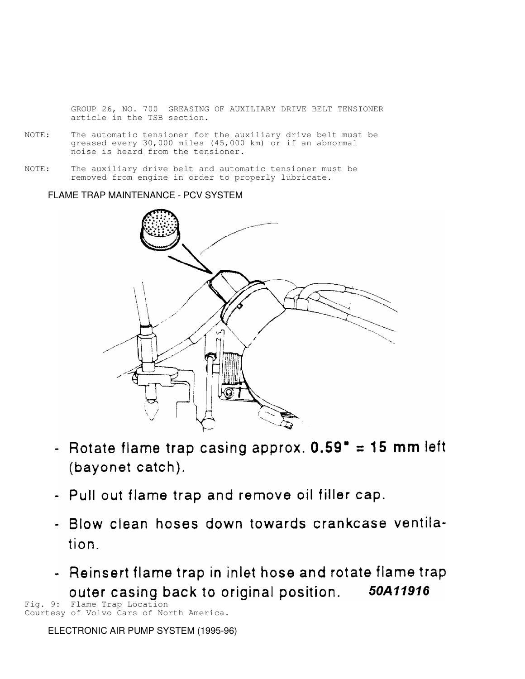GROUP 26, NO. 700 GREASING OF AUXILIARY DRIVE BELT TENSIONER article in the TSB section.

- NOTE: The automatic tensioner for the auxiliary drive belt must be greased every 30,000 miles (45,000 km) or if an abnormal noise is heard from the tensioner.
- NOTE: The auxiliary drive belt and automatic tensioner must be removed from engine in order to properly lubricate.

FLAME TRAP MAINTENANCE - PCV SYSTEM

![](_page_9_Figure_4.jpeg)

- Rotate flame trap casing approx.  $0.59" = 15$  mm left (bayonet catch).
- Pull out flame trap and remove oil filler cap.
- Blow clean hoses down towards crankcase ventilation.
- Reinsert flame trap in inlet hose and rotate flame trap **OUTER CASING back to original position.** 50A11916

Courtesy of Volvo Cars of North America.

ELECTRONIC AIR PUMP SYSTEM (1995-96)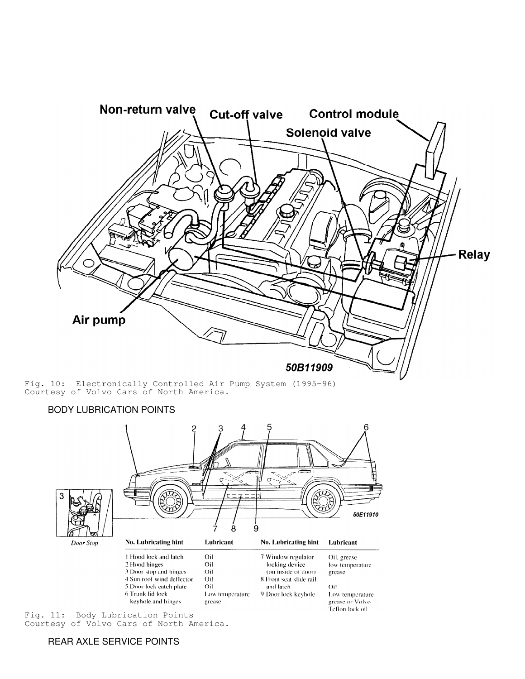![](_page_10_Figure_0.jpeg)

Fig. 10: Electronically Controlled Air Pump System (1995-96) Courtesy of Volvo Cars of North America.

![](_page_10_Figure_2.jpeg)

Fig. 11: Body Lubrication Points Courtesy of Volvo Cars of North America.

## REAR AXLE SERVICE POINTS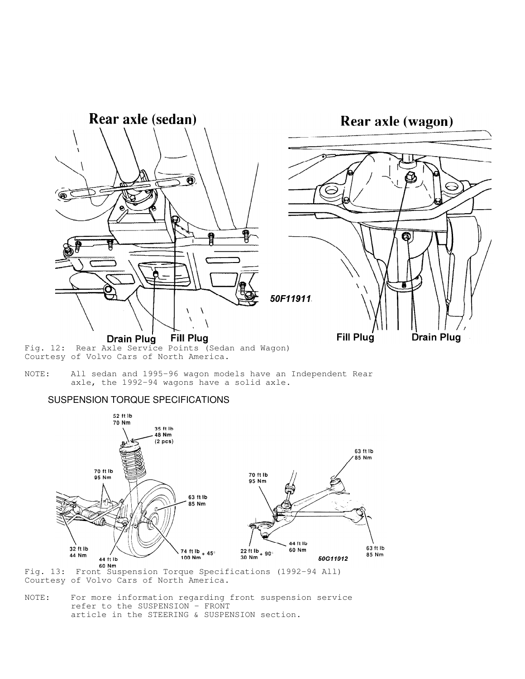![](_page_11_Figure_0.jpeg)

Fig. 12: Rear Axle Service Points (Sedan and Wagon) Courtesy of Volvo Cars of North America.

NOTE: All sedan and 1995-96 wagon models have an Independent Rear axle, the 1992-94 wagons have a solid axle.

## SUSPENSION TORQUE SPECIFICATIONS

![](_page_11_Figure_4.jpeg)

Fig. 13: Front Suspension Torque Specifications (1992-94 All) Courtesy of Volvo Cars of North America.

NOTE: For more information regarding front suspension service refer to the SUSPENSION - FRONT article in the STEERING & SUSPENSION section.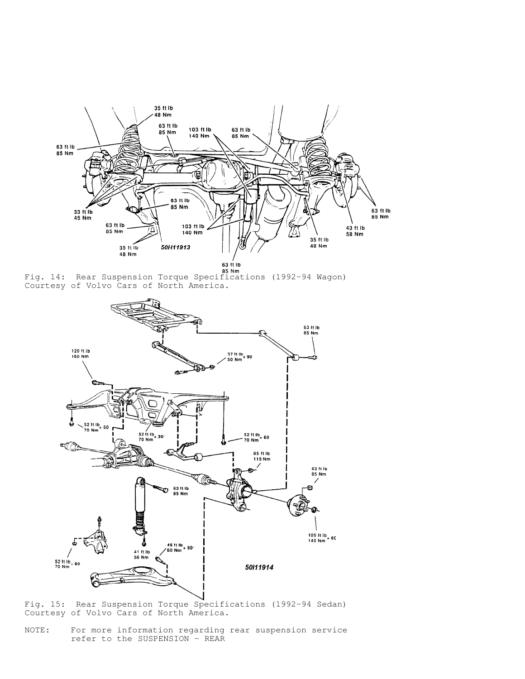![](_page_12_Figure_0.jpeg)

Eig. 14: Rear Suspension Torque Specifications (1992-94 Wagon) Courtesy of Volvo Cars of North America.

![](_page_12_Figure_2.jpeg)

Fig. 15: Rear Suspension Torque Specifications (1992-94 Sedan) Courtesy of Volvo Cars of North America.

NOTE: For more information regarding rear suspension service refer to the SUSPENSION - REAR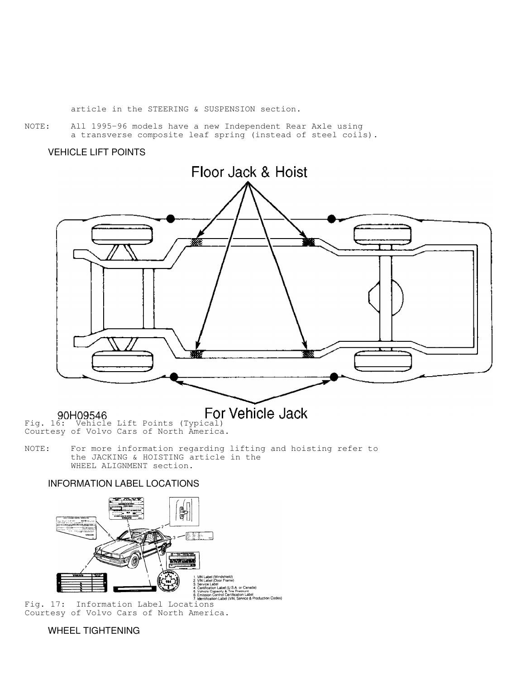article in the STEERING & SUSPENSION section.

NOTE: All 1995-96 models have a new Independent Rear Axle using a transverse composite leaf spring (instead of steel coils).

## VEHICLE LIFT POINTS

![](_page_13_Figure_3.jpeg)

90H09546 Fig. 16: Vehicle Lift Points (Typical) Courtesy of Volvo Cars of North America.

NOTE: For more information regarding lifting and hoisting refer to the JACKING & HOISTING article in the WHEEL ALIGNMENT section.

## INFORMATION LABEL LOCATIONS

![](_page_13_Picture_9.jpeg)

Courtesy of Volvo Cars of North America.

WHEEL TIGHTENING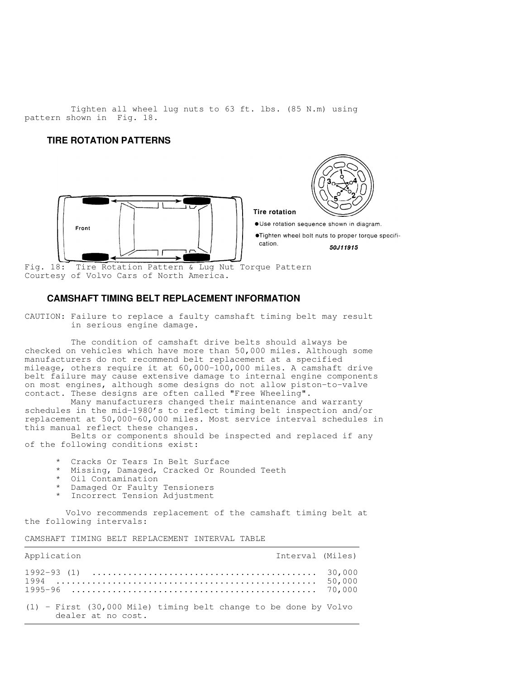Tighten all wheel lug nuts to 63 ft. lbs. (85 N.m) using pattern shown in Fig. 18.

## **TIRE ROTATION PATTERNS**

![](_page_14_Picture_2.jpeg)

![](_page_14_Picture_3.jpeg)

· Use rotation sequence shown in diagram.

**Tire rotation** 

.Tighten wheel bolt nuts to proper torque specification. 50J11915

Fig. 18: Tire Rotation Pattern & Lug Nut Torque Pattern Courtesy of Volvo Cars of North America.

## **CAMSHAFT TIMING BELT REPLACEMENT INFORMATION**

CAUTION: Failure to replace a faulty camshaft timing belt may result in serious engine damage.

 The condition of camshaft drive belts should always be checked on vehicles which have more than 50,000 miles. Although some manufacturers do not recommend belt replacement at a specified mileage, others require it at 60,000-100,000 miles. A camshaft drive belt failure may cause extensive damage to internal engine components on most engines, although some designs do not allow piston-to-valve contact. These designs are often called "Free Wheeling".

Many manufacturers changed their maintenance and warranty schedules in the mid-1980's to reflect timing belt inspection and/or replacement at 50,000-60,000 miles. Most service interval schedules in this manual reflect these changes.

 Belts or components should be inspected and replaced if any of the following conditions exist:

- Cracks Or Tears In Belt Surface
- \* Missing, Damaged, Cracked Or Rounded Teeth
- Oil Contamination
- Damaged Or Faulty Tensioners
- \* Incorrect Tension Adjustment

 Volvo recommends replacement of the camshaft timing belt at the following intervals:

CAMSHAFT TIMING BELT REPLACEMENT INTERVAL TABLE

| Application                                                                                | Interval (Miles) |  |
|--------------------------------------------------------------------------------------------|------------------|--|
|                                                                                            |                  |  |
| $(1)$ - First $(30,000$ Mile) timing belt change to be done by Volvo<br>dealer at no cost. |                  |  |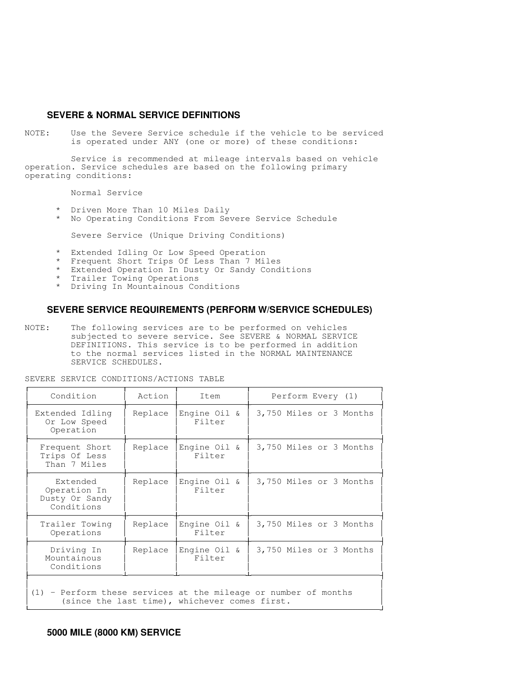## **SEVERE & NORMAL SERVICE DEFINITIONS**

NOTE: Use the Severe Service schedule if the vehicle to be serviced is operated under ANY (one or more) of these conditions:

 Service is recommended at mileage intervals based on vehicle operation. Service schedules are based on the following primary operating conditions:

Normal Service

- \* Driven More Than 10 Miles Daily
- \* No Operating Conditions From Severe Service Schedule

Severe Service (Unique Driving Conditions)

- \* Extended Idling Or Low Speed Operation
- \* Frequent Short Trips Of Less Than 7 Miles
- \* Extended Operation In Dusty Or Sandy Conditions
- \* Trailer Towing Operations
- \* Driving In Mountainous Conditions

#### **SEVERE SERVICE REQUIREMENTS (PERFORM W/SERVICE SCHEDULES)**

NOTE: The following services are to be performed on vehicles subjected to severe service. See SEVERE & NORMAL SERVICE DEFINITIONS. This service is to be performed in addition to the normal services listed in the NORMAL MAINTENANCE SERVICE SCHEDULES.

| Action  | Item                      | Perform Every (1)       |
|---------|---------------------------|-------------------------|
| Replace | Engine $0$ il &<br>Filter | 3,750 Miles or 3 Months |
| Replace | Engine Oil &<br>Filter    | 3,750 Miles or 3 Months |
| Replace | Engine Oil &<br>Filter    | 3,750 Miles or 3 Months |
| Replace | Engine $0$ il &<br>Filter | 3,750 Miles or 3 Months |
| Replace | Engine Oil &<br>Filter    | 3,750 Miles or 3 Months |
|         |                           |                         |

SEVERE SERVICE CONDITIONS/ACTIONS TABLE

 (1) - Perform these services at the mileage or number of months (since the last time), whichever comes first.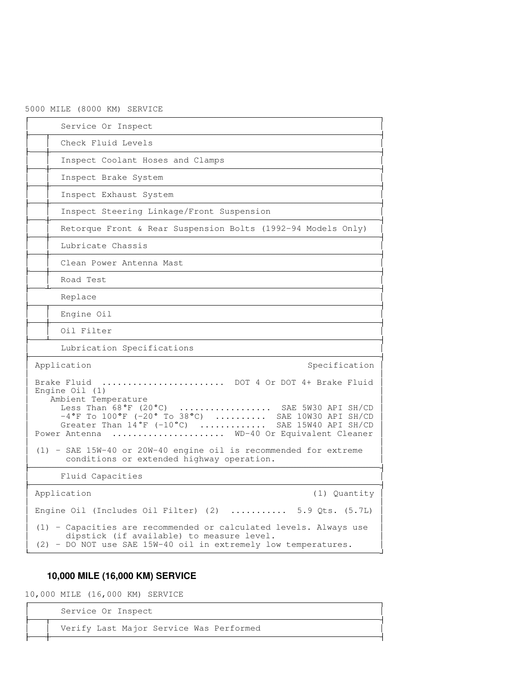## 5000 MILE (8000 KM) SERVICE

| Service Or Inspect                                                                                                                                                                                                                                                                                           |
|--------------------------------------------------------------------------------------------------------------------------------------------------------------------------------------------------------------------------------------------------------------------------------------------------------------|
| Check Fluid Levels                                                                                                                                                                                                                                                                                           |
| Inspect Coolant Hoses and Clamps                                                                                                                                                                                                                                                                             |
| Inspect Brake System                                                                                                                                                                                                                                                                                         |
| Inspect Exhaust System                                                                                                                                                                                                                                                                                       |
| Inspect Steering Linkage/Front Suspension                                                                                                                                                                                                                                                                    |
| Retorque Front & Rear Suspension Bolts (1992-94 Models Only)                                                                                                                                                                                                                                                 |
| Lubricate Chassis                                                                                                                                                                                                                                                                                            |
| Clean Power Antenna Mast                                                                                                                                                                                                                                                                                     |
| Road Test                                                                                                                                                                                                                                                                                                    |
| Replace                                                                                                                                                                                                                                                                                                      |
| Engine Oil                                                                                                                                                                                                                                                                                                   |
| Oil Filter                                                                                                                                                                                                                                                                                                   |
| Lubrication Specifications                                                                                                                                                                                                                                                                                   |
| Application<br>Specification                                                                                                                                                                                                                                                                                 |
| Brake Fluid  DOT 4 Or DOT 4+ Brake Fluid<br>Engine $0$ il $(1)$<br>Ambient Temperature<br>Less Than 68°F (20°C)  SAE 5W30 API SH/CD<br>$-4^{\circ}$ F To $100^{\circ}$ F (-20° To 38°C)  SAE 10W30 API SH/CD<br>Greater Than 14°F (-10°C)  SAE 15W40 API SH/CD<br>Power Antenna  WD-40 Or Equivalent Cleaner |
| (1) - SAE 15W-40 or 20W-40 engine oil is recommended for extreme<br>conditions or extended highway operation.                                                                                                                                                                                                |
| Fluid Capacities                                                                                                                                                                                                                                                                                             |
| Application<br>(1) Quantity                                                                                                                                                                                                                                                                                  |
| Engine Oil (Includes Oil Filter) $(2)$ 5.9 Qts. $(5.7L)$                                                                                                                                                                                                                                                     |
| (1) - Capacities are recommended or calculated levels. Always use<br>dipstick (if available) to measure level.<br>(2) - DO NOT use SAE 15W-40 oil in extremely low temperatures.                                                                                                                             |

## **10,000 MILE (16,000 KM) SERVICE**

10,000 MILE (16,000 KM) SERVICE

-

  $\sim$  10 Service Or Inspect

 Verify Last Major Service Was Performed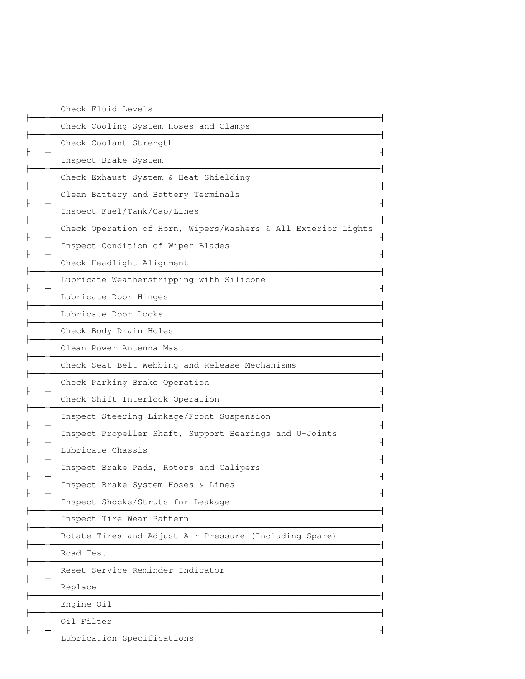| Check Fluid Levels                                            |
|---------------------------------------------------------------|
| Check Cooling System Hoses and Clamps                         |
| Check Coolant Strength                                        |
| Inspect Brake System                                          |
| Check Exhaust System & Heat Shielding                         |
| Clean Battery and Battery Terminals                           |
| Inspect Fuel/Tank/Cap/Lines                                   |
| Check Operation of Horn, Wipers/Washers & All Exterior Lights |
| Inspect Condition of Wiper Blades                             |
| Check Headlight Alignment                                     |
| Lubricate Weatherstripping with Silicone                      |
| Lubricate Door Hinges                                         |
| Lubricate Door Locks                                          |
| Check Body Drain Holes                                        |
| Clean Power Antenna Mast                                      |
| Check Seat Belt Webbing and Release Mechanisms                |
| Check Parking Brake Operation                                 |
| Check Shift Interlock Operation                               |
| Inspect Steering Linkage/Front Suspension                     |
| Inspect Propeller Shaft, Support Bearings and U-Joints        |
| Lubricate Chassis                                             |
| Inspect Brake Pads, Rotors and Calipers                       |
| Inspect Brake System Hoses & Lines                            |
| Inspect Shocks/Struts for Leakage                             |
| Inspect Tire Wear Pattern                                     |
| Rotate Tires and Adjust Air Pressure (Including Spare)        |
| Road Test                                                     |
| Reset Service Reminder Indicator                              |
| Replace                                                       |
| Engine Oil                                                    |
| Oil Filter                                                    |
| Lubrication Specifications                                    |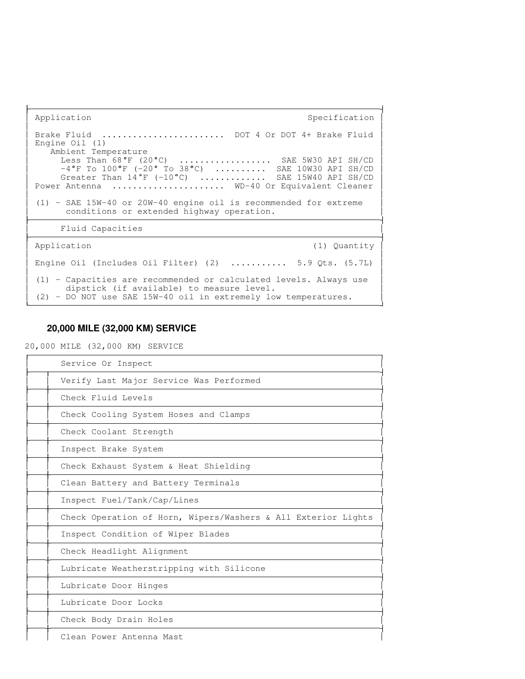Application Specification Specification Specification Specification Specification the contract of the contract of the contract of the contract of the contract of the contract of the contract of Brake Fluid ........................ DOT 4 Or DOT 4+ Brake Fluid Engine Oil (1) Ambient Temperature<br>Less Than  $68^{\circ}$ F (20 $^{\circ}$ C) **The Common** ................. SAE 5W30 API SH/CD  $-4\degree$ f to  $100\degree$ f (-20° to 38°C) .......... SAE 10W30 API SH/CD | **The Common** Greater Than  $14\degree$ F (-10 $\degree$ C) .............. SAE 15W40 API SH/CD  $\mid$  Power Antenna ...................... WD-40 Or Equivalent Cleaner the contract of the contract of the contract of the contract of the contract of the contract of the contract of (1) - SAE 15W-40 or 20W-40 engine oil is recommended for extreme conditions or extended highway operation. Fluid Capacities Application (1) Quantity **The Common** the contract of the contract of the contract of the contract of the contract of the contract of the contract of Engine Oil (Includes Oil Filter) (2) ........... 5.9 Qts.  $(5.7L)$  | the contract of the contract of the contract of the contract of the contract of the contract of the contract of (1) - Capacities are recommended or calculated levels. Always use dipstick (if available) to measure level. **The Common**  (2) - DO NOT use SAE 15W-40 oil in extremely low temperatures. 

## **20,000 MILE (32,000 KM) SERVICE**

20,000 MILE (32,000 KM) SERVICE

-

| Service Or Inspect                                            |
|---------------------------------------------------------------|
| Verify Last Major Service Was Performed                       |
| Check Fluid Levels                                            |
| Check Cooling System Hoses and Clamps                         |
| Check Coolant Strength                                        |
| Inspect Brake System                                          |
| Check Exhaust System & Heat Shielding                         |
| Clean Battery and Battery Terminals                           |
| Inspect Fuel/Tank/Cap/Lines                                   |
| Check Operation of Horn, Wipers/Washers & All Exterior Lights |
| Inspect Condition of Wiper Blades                             |
| Check Headlight Alignment                                     |
| Lubricate Weatherstripping with Silicone                      |
| Lubricate Door Hinges                                         |
| Lubricate Door Locks                                          |
| Check Body Drain Holes                                        |
| Clean Power Antenna Mast                                      |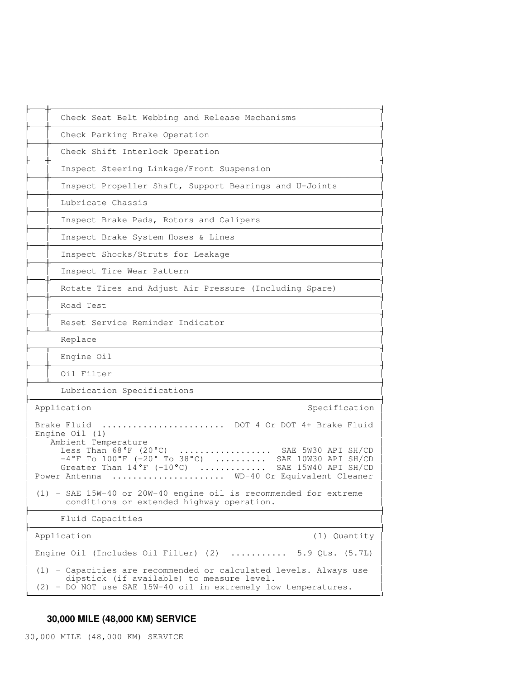| Check Seat Belt Webbing and Release Mechanisms                                                                                                                                                                                                                                                                                    |
|-----------------------------------------------------------------------------------------------------------------------------------------------------------------------------------------------------------------------------------------------------------------------------------------------------------------------------------|
| Check Parking Brake Operation                                                                                                                                                                                                                                                                                                     |
| Check Shift Interlock Operation                                                                                                                                                                                                                                                                                                   |
| Inspect Steering Linkage/Front Suspension                                                                                                                                                                                                                                                                                         |
| Inspect Propeller Shaft, Support Bearings and U-Joints                                                                                                                                                                                                                                                                            |
| Lubricate Chassis                                                                                                                                                                                                                                                                                                                 |
| Inspect Brake Pads, Rotors and Calipers                                                                                                                                                                                                                                                                                           |
| Inspect Brake System Hoses & Lines                                                                                                                                                                                                                                                                                                |
| Inspect Shocks/Struts for Leakage                                                                                                                                                                                                                                                                                                 |
| Inspect Tire Wear Pattern                                                                                                                                                                                                                                                                                                         |
| Rotate Tires and Adjust Air Pressure (Including Spare)                                                                                                                                                                                                                                                                            |
| Road Test                                                                                                                                                                                                                                                                                                                         |
| Reset Service Reminder Indicator                                                                                                                                                                                                                                                                                                  |
| Replace                                                                                                                                                                                                                                                                                                                           |
| Engine Oil                                                                                                                                                                                                                                                                                                                        |
| Oil Filter                                                                                                                                                                                                                                                                                                                        |
| Lubrication Specifications                                                                                                                                                                                                                                                                                                        |
| Application<br>Specification                                                                                                                                                                                                                                                                                                      |
| Brake Fluid<br>DOT 4 Or DOT 4+ Brake Fluid<br>Engine $Oil(1)$<br>Ambient Temperature<br>Less Than $68^{\circ}F$ (20°C)  SAE 5W30 API SH/CD $-4^{\circ}F$ To $100^{\circ}F$ (-20° To 38°C)  SAE 10W30 API SH/CD<br>Greater Than $14^{\circ}$ F (-10°C)<br>.<br>SAE 15W40 API SH/CD<br>WD-40 Or Equivalent Cleaner<br>Power Antenna |
| (1) - SAE 15W-40 or 20W-40 engine oil is recommended for extreme<br>conditions or extended highway operation.                                                                                                                                                                                                                     |
| Fluid Capacities                                                                                                                                                                                                                                                                                                                  |
| Application<br>(1) Quantity                                                                                                                                                                                                                                                                                                       |
| Engine Oil (Includes Oil Filter) $(2)$ 5.9 Qts. $(5.7L)$                                                                                                                                                                                                                                                                          |
| (1) - Capacities are recommended or calculated levels. Always use<br>dipstick (if available) to measure level.<br>(2) - DO NOT use SAE 15W-40 oil in extremely low temperatures.                                                                                                                                                  |

# **30,000 MILE (48,000 KM) SERVICE**

30,000 MILE (48,000 KM) SERVICE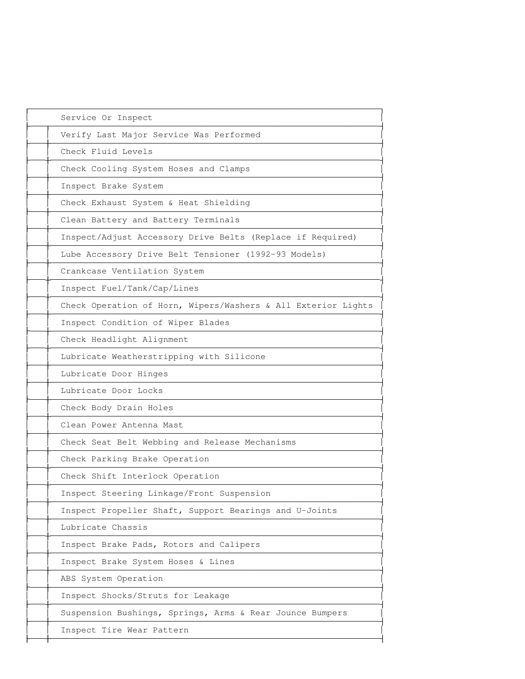| Service Or Inspect                                            |
|---------------------------------------------------------------|
| Verify Last Major Service Was Performed                       |
| Check Fluid Levels                                            |
| Check Cooling System Hoses and Clamps                         |
| Inspect Brake System                                          |
| Check Exhaust System & Heat Shielding                         |
| Clean Battery and Battery Terminals                           |
| Inspect/Adjust Accessory Drive Belts (Replace if Required)    |
| Lube Accessory Drive Belt Tensioner (1992-93 Models)          |
| Crankcase Ventilation System                                  |
| Inspect Fuel/Tank/Cap/Lines                                   |
| Check Operation of Horn, Wipers/Washers & All Exterior Lights |
| Inspect Condition of Wiper Blades                             |
| Check Headlight Alignment                                     |
| Lubricate Weatherstripping with Silicone                      |
| Lubricate Door Hinges                                         |
| Lubricate Door Locks                                          |
| Check Body Drain Holes                                        |
| Clean Power Antenna Mast                                      |
| Check Seat Belt Webbing and Release Mechanisms                |
| Check Parking Brake Operation                                 |
| Check Shift Interlock Operation                               |
| Inspect Steering Linkage/Front Suspension                     |
| Inspect Propeller Shaft, Support Bearings and U-Joints        |
| Lubricate Chassis                                             |
| Inspect Brake Pads, Rotors and Calipers                       |
| Inspect Brake System Hoses & Lines                            |
| ABS System Operation                                          |
| Inspect Shocks/Struts for Leakage                             |
| Suspension Bushings, Springs, Arms & Rear Jounce Bumpers      |
| Inspect Tire Wear Pattern                                     |
|                                                               |

-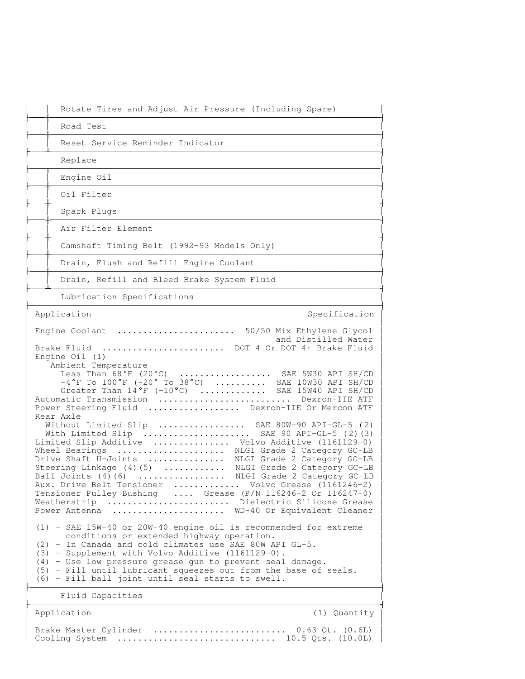| Rotate Tires and Adjust Air Pressure (Including Spare)                                                                                                                                                                                                                                                                                                                                                                                                                                                                                                                                                                                                                                                                                                                                                                                                                                                                                                                                                                    |
|---------------------------------------------------------------------------------------------------------------------------------------------------------------------------------------------------------------------------------------------------------------------------------------------------------------------------------------------------------------------------------------------------------------------------------------------------------------------------------------------------------------------------------------------------------------------------------------------------------------------------------------------------------------------------------------------------------------------------------------------------------------------------------------------------------------------------------------------------------------------------------------------------------------------------------------------------------------------------------------------------------------------------|
| Road Test                                                                                                                                                                                                                                                                                                                                                                                                                                                                                                                                                                                                                                                                                                                                                                                                                                                                                                                                                                                                                 |
| Reset Service Reminder Indicator                                                                                                                                                                                                                                                                                                                                                                                                                                                                                                                                                                                                                                                                                                                                                                                                                                                                                                                                                                                          |
| Replace                                                                                                                                                                                                                                                                                                                                                                                                                                                                                                                                                                                                                                                                                                                                                                                                                                                                                                                                                                                                                   |
| Engine Oil                                                                                                                                                                                                                                                                                                                                                                                                                                                                                                                                                                                                                                                                                                                                                                                                                                                                                                                                                                                                                |
| Oil Filter                                                                                                                                                                                                                                                                                                                                                                                                                                                                                                                                                                                                                                                                                                                                                                                                                                                                                                                                                                                                                |
| Spark Plugs                                                                                                                                                                                                                                                                                                                                                                                                                                                                                                                                                                                                                                                                                                                                                                                                                                                                                                                                                                                                               |
| Air Filter Element                                                                                                                                                                                                                                                                                                                                                                                                                                                                                                                                                                                                                                                                                                                                                                                                                                                                                                                                                                                                        |
| Camshaft Timing Belt (1992-93 Models Only)                                                                                                                                                                                                                                                                                                                                                                                                                                                                                                                                                                                                                                                                                                                                                                                                                                                                                                                                                                                |
| Drain, Flush and Refill Engine Coolant                                                                                                                                                                                                                                                                                                                                                                                                                                                                                                                                                                                                                                                                                                                                                                                                                                                                                                                                                                                    |
| Drain, Refill and Bleed Brake System Fluid                                                                                                                                                                                                                                                                                                                                                                                                                                                                                                                                                                                                                                                                                                                                                                                                                                                                                                                                                                                |
| Lubrication Specifications                                                                                                                                                                                                                                                                                                                                                                                                                                                                                                                                                                                                                                                                                                                                                                                                                                                                                                                                                                                                |
| Application<br>Specification                                                                                                                                                                                                                                                                                                                                                                                                                                                                                                                                                                                                                                                                                                                                                                                                                                                                                                                                                                                              |
| Brake Fluid  DOT 4 Or DOT 4+ Brake Fluid<br>Engine Oil (1)<br>Ambient Temperature<br>Less Than $68^{\circ}F$ (20°C)  SAE 5W30 API SH/CD $-4^{\circ}F$ To 100°F (-20° To 38°C)  SAE 10W30 API SH/CD<br>Greater Than 14°F (-10°C)  SAE 15W40 API SH/CD<br>Automatic Transmission  Dexron-IIE ATF<br>Power Steering Fluid  Dexron-IIE Or Mercon ATF<br>Rear Axle<br>Without Limited Slip  SAE 80W-90 API-GL-5 (2)<br>With Limited Slip  SAE 90 API-GL-5 (2) (3)<br>Limited Slip Additive  Volvo Additive (1161129-0)<br>Wheel Bearings  NLGI Grade 2 Category GC-LB<br>Drive Shaft U-Joints  NLGI Grade 2 Category GC-LB<br>Steering Linkage (4)(5)  NLGI Grade 2 Category GC-LB<br>Ball Joints (4) (6)  NLGI Grade 2 Category GC-LB<br>Aux. Drive Belt Tensioner  Volvo Grease (1161246-2)<br>Tensioner Pulley Bushing  Grease (P/N 116246-2 Or 116247-0)<br>Dielectric Silicone Grease<br>Weatherstrip<br>WD-40 Or Equivalent Cleaner<br>Power Antenna<br>(1) - SAE 15W-40 or 20W-40 engine oil is recommended for extreme |
| conditions or extended highway operation.<br>(2) - In Canada and cold climates use SAE 80W API GL-5.<br>(3) - Supplement with Volvo Additive (1161129-0).<br>$(4)$ - Use low pressure grease gun to prevent seal damage.<br>(5) - Fill until lubricant squeezes out from the base of seals.<br>(6) - Fill ball joint until seal starts to swell.                                                                                                                                                                                                                                                                                                                                                                                                                                                                                                                                                                                                                                                                          |
| Fluid Capacities                                                                                                                                                                                                                                                                                                                                                                                                                                                                                                                                                                                                                                                                                                                                                                                                                                                                                                                                                                                                          |
|                                                                                                                                                                                                                                                                                                                                                                                                                                                                                                                                                                                                                                                                                                                                                                                                                                                                                                                                                                                                                           |

(1) Quantity

Brake Master Cylinder .......................... 0.63 Qt. (0.6L) Cooling System ............................... 10.5 Qts. (10.0L)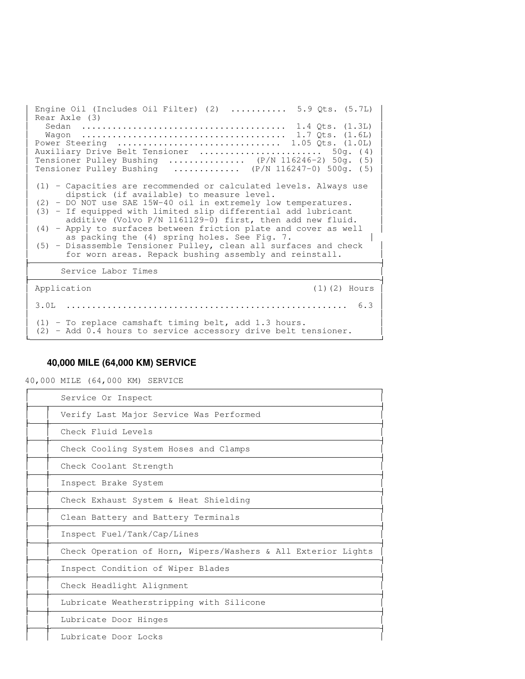Engine Oil (Includes Oil Filter) (2) ........... 5.9 Qts. (5.7L) Rear Axle (3) Sedan ........................................ 1.4 Qts. (1.3L) Wagon ........................................ 1.7 Qts. (1.6L) Power Steering ................................ 1.05 Qts. (1.0L) Auxiliary Drive Belt Tensioner ........................... 50g. (4) **The Common**  Tensioner Pulley Bushing ............... (P/N 116246-2) 50g. ( 5) Tensioner Pulley Bushing ............. (P/N 116247-0) 500g. ( 5) **The Common** the contract of the contract of the contract of the contract of the contract of the contract of the contract of (1) - Capacities are recommended or calculated levels. Always use dipstick (if available) to measure level. (2) - DO NOT use SAE 15W-40 oil in extremely low temperatures. (3) - If equipped with limited slip differential add lubricant **The Common** additive (Volvo P/N 1161129-0) first, then add new fluid. (4) - Apply to surfaces between friction plate and cover as well **The Common**  as packing the (4) spring holes. See Fig. 7. (5) - Disassemble Tensioner Pulley, clean all surfaces and check **The Common**  for worn areas. Repack bushing assembly and reinstall. Letter and the control of the control of the control of the control of the control of the control of the control of Service Labor Times Application (1)(2) Hours **The Common** the contract of the contract of the contract of the contract of the contract of the contract of the contract of 3.0L ....................................................... 6.3 **The Common** the contract of the contract of the contract of the contract of the contract of the contract of the contract of (1) - To replace camshaft timing belt, add 1.3 hours. (2) - Add 0.4 hours to service accessory drive belt tensioner.

 

## **40,000 MILE (64,000 KM) SERVICE**

40,000 MILE (64,000 KM) SERVICE

| Service Or Inspect                                            |
|---------------------------------------------------------------|
| Verify Last Major Service Was Performed                       |
| Check Fluid Levels                                            |
| Check Cooling System Hoses and Clamps                         |
| Check Coolant Strength                                        |
| Inspect Brake System                                          |
| Check Exhaust System & Heat Shielding                         |
| Clean Battery and Battery Terminals                           |
| Inspect Fuel/Tank/Cap/Lines                                   |
| Check Operation of Horn, Wipers/Washers & All Exterior Lights |
| Inspect Condition of Wiper Blades                             |
| Check Headlight Alignment                                     |
| Lubricate Weatherstripping with Silicone                      |
| Lubricate Door Hinges                                         |
| Lubricate Door Locks                                          |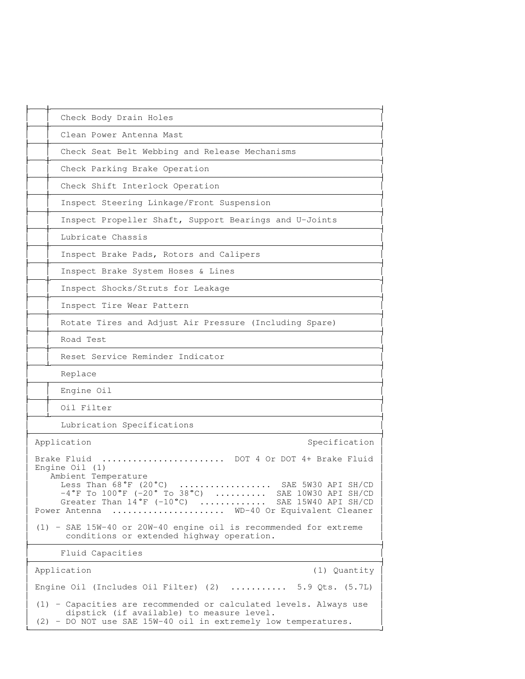| Check Body Drain Holes                                                                             |                                                                                                                                                                                                                                                                                                                       |
|----------------------------------------------------------------------------------------------------|-----------------------------------------------------------------------------------------------------------------------------------------------------------------------------------------------------------------------------------------------------------------------------------------------------------------------|
| Clean Power Antenna Mast                                                                           |                                                                                                                                                                                                                                                                                                                       |
|                                                                                                    | Check Seat Belt Webbing and Release Mechanisms                                                                                                                                                                                                                                                                        |
| Check Parking Brake Operation                                                                      |                                                                                                                                                                                                                                                                                                                       |
| Check Shift Interlock Operation                                                                    |                                                                                                                                                                                                                                                                                                                       |
| Inspect Steering Linkage/Front Suspension                                                          |                                                                                                                                                                                                                                                                                                                       |
|                                                                                                    | Inspect Propeller Shaft, Support Bearings and U-Joints                                                                                                                                                                                                                                                                |
| Lubricate Chassis                                                                                  |                                                                                                                                                                                                                                                                                                                       |
| Inspect Brake Pads, Rotors and Calipers                                                            |                                                                                                                                                                                                                                                                                                                       |
| Inspect Brake System Hoses & Lines                                                                 |                                                                                                                                                                                                                                                                                                                       |
| Inspect Shocks/Struts for Leakage                                                                  |                                                                                                                                                                                                                                                                                                                       |
| Inspect Tire Wear Pattern                                                                          |                                                                                                                                                                                                                                                                                                                       |
|                                                                                                    | Rotate Tires and Adjust Air Pressure (Including Spare)                                                                                                                                                                                                                                                                |
| Road Test                                                                                          |                                                                                                                                                                                                                                                                                                                       |
| Reset Service Reminder Indicator                                                                   |                                                                                                                                                                                                                                                                                                                       |
| Replace                                                                                            |                                                                                                                                                                                                                                                                                                                       |
| Engine Oil                                                                                         |                                                                                                                                                                                                                                                                                                                       |
| Oil Filter                                                                                         |                                                                                                                                                                                                                                                                                                                       |
| Lubrication Specifications                                                                         |                                                                                                                                                                                                                                                                                                                       |
| Application                                                                                        | Specification                                                                                                                                                                                                                                                                                                         |
| Brake Fluid<br>Engine $Oil(1)$<br>Ambient Temperature<br>conditions or extended highway operation. | DOT 4 Or DOT 4+ Brake Fluid<br>Less Than 68°F (20°C)  SAE 5W30 API SH/CD<br>$-4^{\circ}$ F To $100^{\circ}$ F (-20° To 38°C)  SAE 10W30 API SH/CD<br>Greater Than 14°F (-10°C)  SAE 15W40 API SH/CD<br>Power Antenna  WD-40 Or Equivalent Cleaner<br>(1) - SAE 15W-40 or 20W-40 engine oil is recommended for extreme |
| Fluid Capacities                                                                                   |                                                                                                                                                                                                                                                                                                                       |
| Application                                                                                        | (1) Quantity                                                                                                                                                                                                                                                                                                          |
|                                                                                                    | Engine Oil (Includes Oil Filter) (2)  5.9 Qts. $(5.7L)$                                                                                                                                                                                                                                                               |
| dipstick (if available) to measure level.                                                          | (1) - Capacities are recommended or calculated levels. Always use<br>(2) - DO NOT use SAE 15W-40 oil in extremely low temperatures.                                                                                                                                                                                   |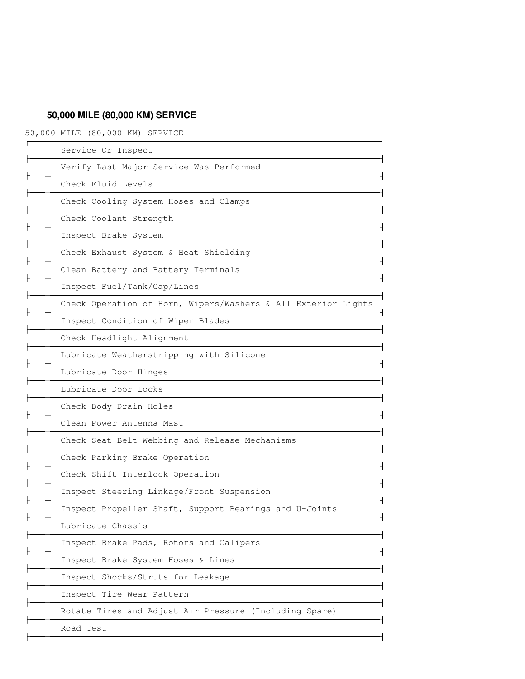# **50,000 MILE (80,000 KM) SERVICE**

50,000 MILE (80,000 KM) SERVICE

| Service Or Inspect                                            |
|---------------------------------------------------------------|
| Verify Last Major Service Was Performed                       |
| Check Fluid Levels                                            |
| Check Cooling System Hoses and Clamps                         |
| Check Coolant Strength                                        |
| Inspect Brake System                                          |
| Check Exhaust System & Heat Shielding                         |
| Clean Battery and Battery Terminals                           |
| Inspect Fuel/Tank/Cap/Lines                                   |
| Check Operation of Horn, Wipers/Washers & All Exterior Lights |
| Inspect Condition of Wiper Blades                             |
| Check Headlight Alignment                                     |
| Lubricate Weatherstripping with Silicone                      |
| Lubricate Door Hinges                                         |
| Lubricate Door Locks                                          |
| Check Body Drain Holes                                        |
| Clean Power Antenna Mast                                      |
| Check Seat Belt Webbing and Release Mechanisms                |
| Check Parking Brake Operation                                 |
| Check Shift Interlock Operation                               |
| Inspect Steering Linkage/Front Suspension                     |
| Inspect Propeller Shaft, Support Bearings and U-Joints        |
| Lubricate Chassis                                             |
| Inspect Brake Pads, Rotors and Calipers                       |
| Inspect Brake System Hoses & Lines                            |
| Inspect Shocks/Struts for Leakage                             |
| Inspect Tire Wear Pattern                                     |
| Rotate Tires and Adjust Air Pressure (Including Spare)        |
| Road Test                                                     |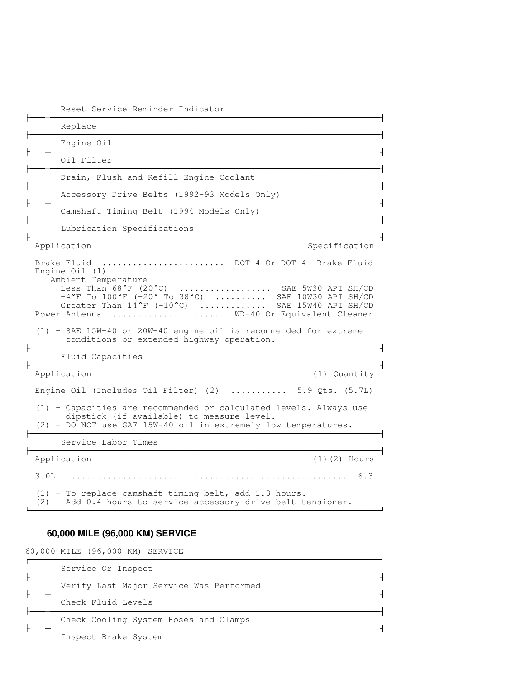|      | Reset Service Reminder Indicator                                                                                                                                                                                                                                                                                                                                                                                                                 |
|------|--------------------------------------------------------------------------------------------------------------------------------------------------------------------------------------------------------------------------------------------------------------------------------------------------------------------------------------------------------------------------------------------------------------------------------------------------|
|      | Replace                                                                                                                                                                                                                                                                                                                                                                                                                                          |
|      | Engine Oil                                                                                                                                                                                                                                                                                                                                                                                                                                       |
|      | Oil Filter                                                                                                                                                                                                                                                                                                                                                                                                                                       |
|      | Drain, Flush and Refill Engine Coolant                                                                                                                                                                                                                                                                                                                                                                                                           |
|      | Accessory Drive Belts (1992-93 Models Only)                                                                                                                                                                                                                                                                                                                                                                                                      |
|      | Camshaft Timing Belt (1994 Models Only)                                                                                                                                                                                                                                                                                                                                                                                                          |
|      | Lubrication Specifications                                                                                                                                                                                                                                                                                                                                                                                                                       |
|      | Application<br>Specification                                                                                                                                                                                                                                                                                                                                                                                                                     |
|      | Brake Fluid  DOT 4 Or DOT 4+ Brake Fluid<br>Engine $Oil(1)$<br>Ambient Temperature<br>Less Than $68^{\circ}$ F (20 $^{\circ}$ C)<br>SAE 5W30 API SH/CD<br>$-4^{\circ}$ F To $100^{\circ}$ F (-20° To 38°C)  SAE 10W30 API SH/CD<br>Greater Than 14°F (-10°C)  SAE 15W40 API SH/CD<br>Power Antenna  WD-40 Or Equivalent Cleaner<br>(1) - SAE 15W-40 or 20W-40 engine oil is recommended for extreme<br>conditions or extended highway operation. |
|      | Fluid Capacities                                                                                                                                                                                                                                                                                                                                                                                                                                 |
|      | Application<br>(1) Quantity                                                                                                                                                                                                                                                                                                                                                                                                                      |
|      | Engine Oil (Includes Oil Filter) $(2)$ 5.9 Qts. $(5.7L)$                                                                                                                                                                                                                                                                                                                                                                                         |
|      | (1) - Capacities are recommended or calculated levels. Always use<br>dipstick (if available) to measure level.<br>(2) - DO NOT use SAE 15W-40 oil in extremely low temperatures.                                                                                                                                                                                                                                                                 |
|      | Service Labor Times                                                                                                                                                                                                                                                                                                                                                                                                                              |
|      | Application<br>$(1)$ $(2)$ Hours                                                                                                                                                                                                                                                                                                                                                                                                                 |
| 3.0L |                                                                                                                                                                                                                                                                                                                                                                                                                                                  |
|      | (1) - To replace camshaft timing belt, add 1.3 hours.<br>(2) - Add 0.4 hours to service accessory drive belt tensioner.                                                                                                                                                                                                                                                                                                                          |

## **60,000 MILE (96,000 KM) SERVICE**

60,000 MILE (96,000 KM) SERVICE

| Service Or Inspect                      |
|-----------------------------------------|
| Verify Last Major Service Was Performed |
| Check Fluid Levels                      |
| Check Cooling System Hoses and Clamps   |
| Inspect Brake System                    |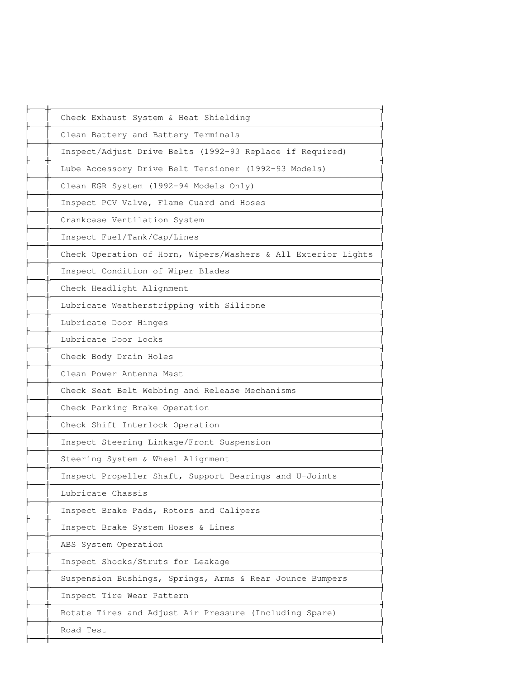| Check Exhaust System & Heat Shielding                         |  |
|---------------------------------------------------------------|--|
| Clean Battery and Battery Terminals                           |  |
| Inspect/Adjust Drive Belts (1992-93 Replace if Required)      |  |
| Lube Accessory Drive Belt Tensioner (1992-93 Models)          |  |
| Clean EGR System (1992-94 Models Only)                        |  |
| Inspect PCV Valve, Flame Guard and Hoses                      |  |
| Crankcase Ventilation System                                  |  |
| Inspect Fuel/Tank/Cap/Lines                                   |  |
| Check Operation of Horn, Wipers/Washers & All Exterior Lights |  |
| Inspect Condition of Wiper Blades                             |  |
| Check Headlight Alignment                                     |  |
| Lubricate Weatherstripping with Silicone                      |  |
| Lubricate Door Hinges                                         |  |
| Lubricate Door Locks                                          |  |
| Check Body Drain Holes                                        |  |
| Clean Power Antenna Mast                                      |  |
| Check Seat Belt Webbing and Release Mechanisms                |  |
| Check Parking Brake Operation                                 |  |
| Check Shift Interlock Operation                               |  |
| Inspect Steering Linkage/Front Suspension                     |  |
| Steering System & Wheel Alignment                             |  |
| Inspect Propeller Shaft, Support Bearings and U-Joints        |  |
| Lubricate Chassis                                             |  |
| Inspect Brake Pads, Rotors and Calipers                       |  |
| Inspect Brake System Hoses & Lines                            |  |
| ABS System Operation                                          |  |
| Inspect Shocks/Struts for Leakage                             |  |
| Suspension Bushings, Springs, Arms & Rear Jounce Bumpers      |  |
| Inspect Tire Wear Pattern                                     |  |
| Rotate Tires and Adjust Air Pressure (Including Spare)        |  |
| Road Test                                                     |  |
|                                                               |  |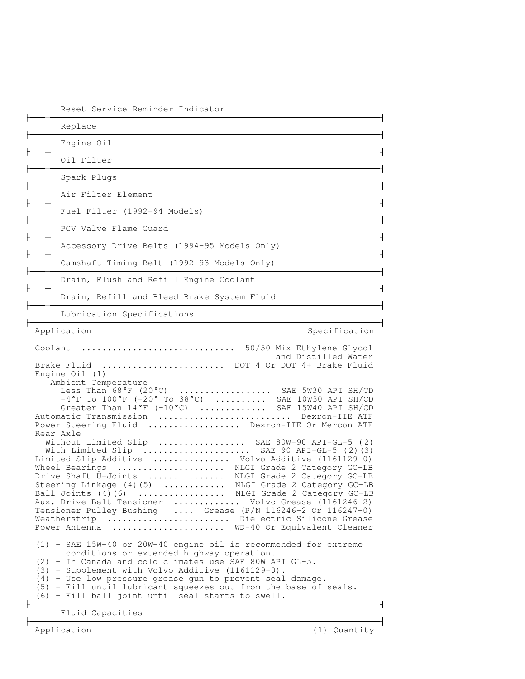| Reset Service Reminder Indicator                                                                                                                                                                                                                                                                                                                                                                                                                                                                                                                                                                                                                                                                                                                                                                                                                                                                                                                                                                                                                                             |
|------------------------------------------------------------------------------------------------------------------------------------------------------------------------------------------------------------------------------------------------------------------------------------------------------------------------------------------------------------------------------------------------------------------------------------------------------------------------------------------------------------------------------------------------------------------------------------------------------------------------------------------------------------------------------------------------------------------------------------------------------------------------------------------------------------------------------------------------------------------------------------------------------------------------------------------------------------------------------------------------------------------------------------------------------------------------------|
| Replace                                                                                                                                                                                                                                                                                                                                                                                                                                                                                                                                                                                                                                                                                                                                                                                                                                                                                                                                                                                                                                                                      |
| Engine Oil                                                                                                                                                                                                                                                                                                                                                                                                                                                                                                                                                                                                                                                                                                                                                                                                                                                                                                                                                                                                                                                                   |
| Oil Filter                                                                                                                                                                                                                                                                                                                                                                                                                                                                                                                                                                                                                                                                                                                                                                                                                                                                                                                                                                                                                                                                   |
| Spark Plugs                                                                                                                                                                                                                                                                                                                                                                                                                                                                                                                                                                                                                                                                                                                                                                                                                                                                                                                                                                                                                                                                  |
| Air Filter Element                                                                                                                                                                                                                                                                                                                                                                                                                                                                                                                                                                                                                                                                                                                                                                                                                                                                                                                                                                                                                                                           |
| Fuel Filter (1992-94 Models)                                                                                                                                                                                                                                                                                                                                                                                                                                                                                                                                                                                                                                                                                                                                                                                                                                                                                                                                                                                                                                                 |
| PCV Valve Flame Guard                                                                                                                                                                                                                                                                                                                                                                                                                                                                                                                                                                                                                                                                                                                                                                                                                                                                                                                                                                                                                                                        |
| Accessory Drive Belts (1994-95 Models Only)                                                                                                                                                                                                                                                                                                                                                                                                                                                                                                                                                                                                                                                                                                                                                                                                                                                                                                                                                                                                                                  |
| Camshaft Timing Belt (1992-93 Models Only)                                                                                                                                                                                                                                                                                                                                                                                                                                                                                                                                                                                                                                                                                                                                                                                                                                                                                                                                                                                                                                   |
| Drain, Flush and Refill Engine Coolant                                                                                                                                                                                                                                                                                                                                                                                                                                                                                                                                                                                                                                                                                                                                                                                                                                                                                                                                                                                                                                       |
| Drain, Refill and Bleed Brake System Fluid                                                                                                                                                                                                                                                                                                                                                                                                                                                                                                                                                                                                                                                                                                                                                                                                                                                                                                                                                                                                                                   |
| Lubrication Specifications                                                                                                                                                                                                                                                                                                                                                                                                                                                                                                                                                                                                                                                                                                                                                                                                                                                                                                                                                                                                                                                   |
| Application<br>Specification                                                                                                                                                                                                                                                                                                                                                                                                                                                                                                                                                                                                                                                                                                                                                                                                                                                                                                                                                                                                                                                 |
| Brake Fluid  DOT 4 Or DOT 4+ Brake Fluid<br>Engine $Oil(1)$<br>Ambient Temperature<br>Less Than 68°F (20°C)  SAE 5W30 API SH/CD<br>$-4^{\circ}$ F To $100^{\circ}$ F (-20° To 38°C)  SAE 10W30 API SH/CD<br>Greater Than 14°F (-10°C)  SAE 15W40 API SH/CD<br>Automatic Transmission  Dexron-IIE ATF<br>Power Steering Fluid  Dexron-IIE Or Mercon ATF<br>Rear Axle<br>Without Limited Slip  SAE 80W-90 API-GL-5 (2)<br>With Limited Slip  SAE 90 API-GL-5 (2) (3)<br>Limited Slip Additive  Volvo Additive (1161129-0)<br>Wheel Bearings  NLGI Grade 2 Category GC-LB<br>Drive Shaft U-Joints  NLGI Grade 2 Category GC-LB<br>Steering Linkage (4)(5)  NLGI Grade 2 Category GC-LB<br>Ball Joints (4) (6)  NLGI Grade 2 Category GC-LB<br>Aux. Drive Belt Tensioner  Volvo Grease (1161246-2)<br>Tensioner Pulley Bushing  Grease (P/N 116246-2 Or 116247-0)<br>Weatherstrip  Dielectric Silicone Grease<br>Power Antenna<br>WD-40 Or Equivalent Cleaner<br>$(1)$ - SAE 15W-40 or 20W-40 engine oil is recommended for extreme<br>conditions or extended highway operation. |
| (2) - In Canada and cold climates use SAE 80W API GL-5.<br>(3) - Supplement with Volvo Additive (1161129-0).<br>(4) - Use low pressure grease gun to prevent seal damage.<br>(5) - Fill until lubricant squeezes out from the base of seals.<br>(6) - Fill ball joint until seal starts to swell.                                                                                                                                                                                                                                                                                                                                                                                                                                                                                                                                                                                                                                                                                                                                                                            |
| Fluid Capacities                                                                                                                                                                                                                                                                                                                                                                                                                                                                                                                                                                                                                                                                                                                                                                                                                                                                                                                                                                                                                                                             |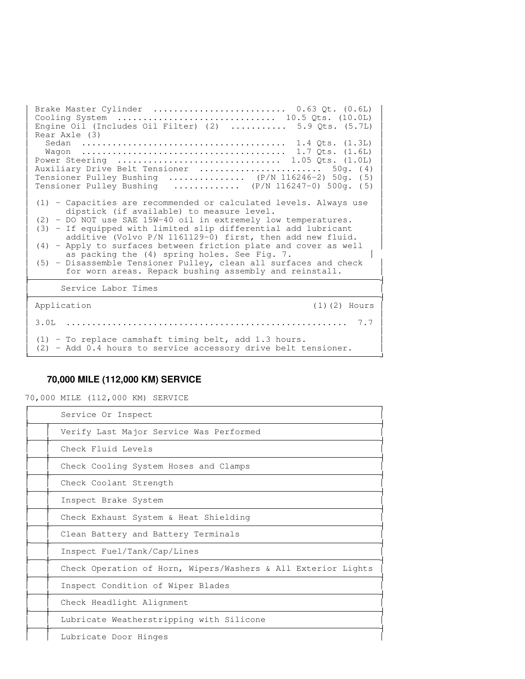Brake Master Cylinder .......................... 0.63 Qt. (0.6L) Cooling System ............................... 10.5 Qts. (10.0L) Engine Oil (Includes Oil Filter) (2) ........... 5.9 Qts. (5.7L) Rear Axle (3) Sedan ........................................ 1.4 Qts. (1.3L) Wagon ........................................ 1.7 Qts. (1.6L) **The Common**  Power Steering ................................ 1.05 Qts. (1.0L) Auxiliary Drive Belt Tensioner ........................ 50g. ( 4) **The Common** Tensioner Pulley Bushing ............... (P/N 116246-2) 50g. (5)<br>Tensioner Pulley Bushing ............. (P/N 116247-0) 500g. (5)  $\cdots$ ........... (P/N 116247-0) 500g. (5) the contract of the contract of the contract of the contract of the contract of the contract of the contract of (1) - Capacities are recommended or calculated levels. Always use dipstick (if available) to measure level. **The Common**  (2) - DO NOT use SAE 15W-40 oil in extremely low temperatures. (3) - If equipped with limited slip differential add lubricant **The Common**  additive (Volvo P/N 1161129-0) first, then add new fluid. (4) - Apply to surfaces between friction plate and cover as well **The Common**  as packing the (4) spring holes. See Fig. 7. (5) - Disassemble Tensioner Pulley, clean all surfaces and check for worn areas. Repack bushing assembly and reinstall. Service Labor Times Application (1)(2) Hours **The Common** the contract of the contract of the contract of the contract of the contract of the contract of the contract of 3.0L ....................................................... 7.7 the contract of the contract of the contract of the contract of the contract of the contract of the contract of (1) - To replace camshaft timing belt, add 1.3 hours. (2) - Add 0.4 hours to service accessory drive belt tensioner.

 

## **70,000 MILE (112,000 KM) SERVICE**

70,000 MILE (112,000 KM) SERVICE

| Service Or Inspect                                            |
|---------------------------------------------------------------|
| Verify Last Major Service Was Performed                       |
| Check Fluid Levels                                            |
| Check Cooling System Hoses and Clamps                         |
| Check Coolant Strength                                        |
| Inspect Brake System                                          |
| Check Exhaust System & Heat Shielding                         |
| Clean Battery and Battery Terminals                           |
| Inspect Fuel/Tank/Cap/Lines                                   |
| Check Operation of Horn, Wipers/Washers & All Exterior Lights |
| Inspect Condition of Wiper Blades                             |
| Check Headlight Alignment                                     |
| Lubricate Weatherstripping with Silicone                      |
| Lubricate Door Hinges                                         |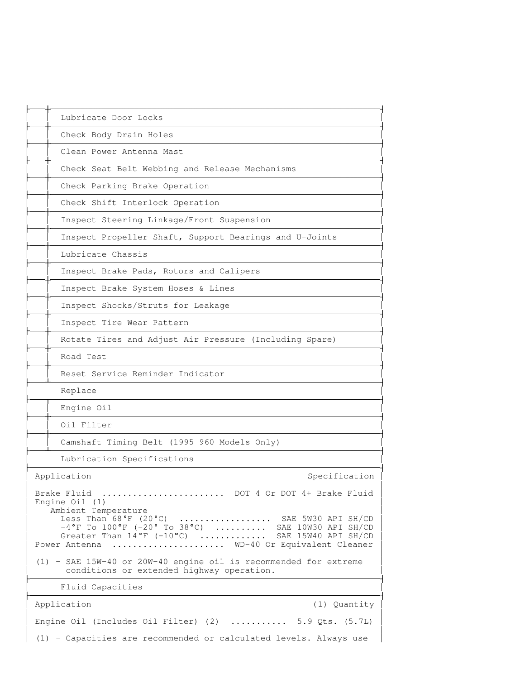| Lubricate Door Locks                                                                                                                                                                                                                                                                                                  |
|-----------------------------------------------------------------------------------------------------------------------------------------------------------------------------------------------------------------------------------------------------------------------------------------------------------------------|
| Check Body Drain Holes                                                                                                                                                                                                                                                                                                |
| Clean Power Antenna Mast                                                                                                                                                                                                                                                                                              |
| Check Seat Belt Webbing and Release Mechanisms                                                                                                                                                                                                                                                                        |
| Check Parking Brake Operation                                                                                                                                                                                                                                                                                         |
| Check Shift Interlock Operation                                                                                                                                                                                                                                                                                       |
| Inspect Steering Linkage/Front Suspension                                                                                                                                                                                                                                                                             |
| Inspect Propeller Shaft, Support Bearings and U-Joints                                                                                                                                                                                                                                                                |
| Lubricate Chassis                                                                                                                                                                                                                                                                                                     |
| Inspect Brake Pads, Rotors and Calipers                                                                                                                                                                                                                                                                               |
| Inspect Brake System Hoses & Lines                                                                                                                                                                                                                                                                                    |
| Inspect Shocks/Struts for Leakage                                                                                                                                                                                                                                                                                     |
| Inspect Tire Wear Pattern                                                                                                                                                                                                                                                                                             |
| Rotate Tires and Adjust Air Pressure (Including Spare)                                                                                                                                                                                                                                                                |
| Road Test                                                                                                                                                                                                                                                                                                             |
| Reset Service Reminder Indicator                                                                                                                                                                                                                                                                                      |
| Replace                                                                                                                                                                                                                                                                                                               |
| Engine Oil                                                                                                                                                                                                                                                                                                            |
| Oil Filter                                                                                                                                                                                                                                                                                                            |
| Camshaft Timing Belt (1995 960 Models Only)                                                                                                                                                                                                                                                                           |
| Lubrication Specifications                                                                                                                                                                                                                                                                                            |
| Application<br>Specification                                                                                                                                                                                                                                                                                          |
| Brake Fluid<br>DOT 4 Or DOT 4+ Brake Fluid<br>Engine Oil (1)<br>Ambient Temperature<br>Less Than $68^{\circ}$ F (20°C)<br>SAE 5W30 API SH/CD<br>$-4^{\circ}$ F To $100^{\circ}$ F (-20° To 38°C)  SAE 10W30 API SH/CD<br>Greater Than 14°F (-10°C)  SAE 15W40 API SH/CD<br>Power Antenna  WD-40 Or Equivalent Cleaner |
| $(1)$ - SAE 15W-40 or 20W-40 engine oil is recommended for extreme<br>conditions or extended highway operation.                                                                                                                                                                                                       |
| Fluid Capacities                                                                                                                                                                                                                                                                                                      |
| Application<br>(1) Quantity                                                                                                                                                                                                                                                                                           |
| Engine Oil (Includes Oil Filter) $(2)$ 5.9 Qts. $(5.7L)$                                                                                                                                                                                                                                                              |
| (1) - Capacities are recommended or calculated levels. Always use                                                                                                                                                                                                                                                     |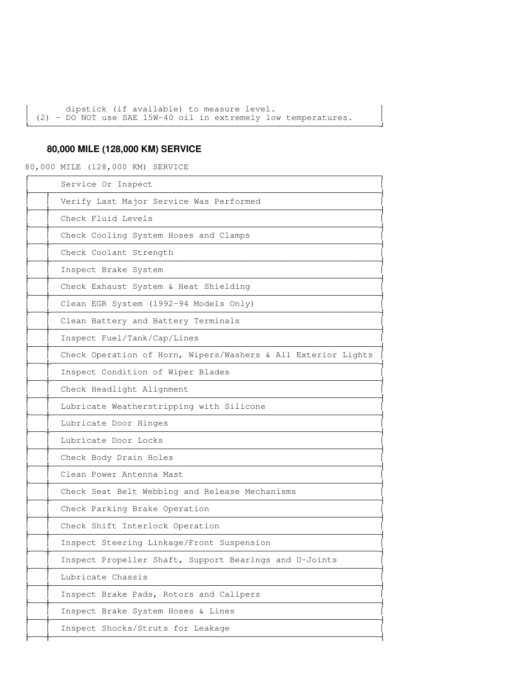dipstick (if available) to measure level. (2) - DO NOT use SAE 15W-40 oil in extremely low temperatures. 

## **80,000 MILE (128,000 KM) SERVICE**

80,000 MILE (128,000 KM) SERVICE

| Service Or Inspect                                            |
|---------------------------------------------------------------|
| Verify Last Major Service Was Performed                       |
| Check Fluid Levels                                            |
| Check Cooling System Hoses and Clamps                         |
| Check Coolant Strength                                        |
| Inspect Brake System                                          |
| Check Exhaust System & Heat Shielding                         |
| Clean EGR System (1992-94 Models Only)                        |
| Clean Battery and Battery Terminals                           |
| Inspect Fuel/Tank/Cap/Lines                                   |
| Check Operation of Horn, Wipers/Washers & All Exterior Lights |
| Inspect Condition of Wiper Blades                             |
| Check Headlight Alignment                                     |
| Lubricate Weatherstripping with Silicone                      |
| Lubricate Door Hinges                                         |
| Lubricate Door Locks                                          |
| Check Body Drain Holes                                        |
| Clean Power Antenna Mast                                      |
| Check Seat Belt Webbing and Release Mechanisms                |
| Check Parking Brake Operation                                 |
| Check Shift Interlock Operation                               |
| Inspect Steering Linkage/Front Suspension                     |
| Inspect Propeller Shaft, Support Bearings and U-Joints        |
| Lubricate Chassis                                             |
| Inspect Brake Pads, Rotors and Calipers                       |
| Inspect Brake System Hoses & Lines                            |
| Inspect Shocks/Struts for Leakage                             |
|                                                               |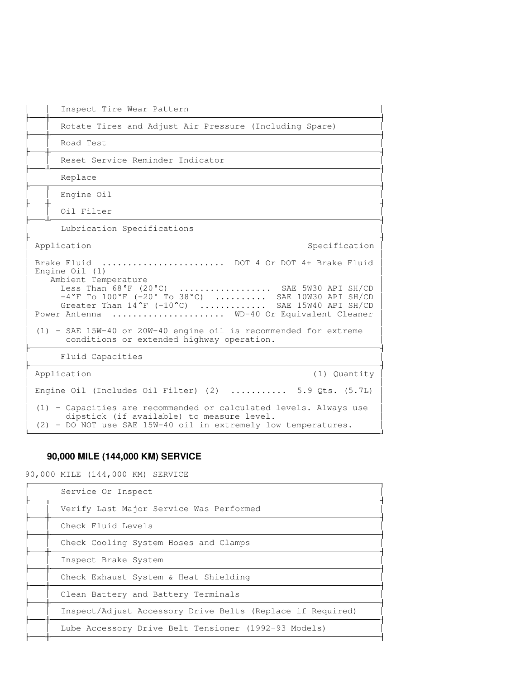$\sim$  10 Inspect Tire Wear Pattern  $\sim$  10 Rotate Tires and Adjust Air Pressure (Including Spare)  $\sim$  10 Road Test  $\sim$  10 Reset Service Reminder Indicator **Contract Contract**  Replace the contract of the contract of the contract of the contract of the contract of the contract of the contract of the contract of the contract of the contract of the contract of the contract of the contract of the co  $\mathcal{L} \subset \mathbb{R}^n$  Engine Oil  $\sim$  10 Oil Filter **Contract Contract**  Lubrication Specifications Application Specification Specification Specification Specification Specification **The Common** the contract of the contract of the contract of the contract of the contract of the contract of the contract of Brake Fluid ............................ DOT 4 Or DOT 4+ Brake Fluid Engine Oil (1) Ambient Temperature<br>Less Than 68°F (20°C) .................. SAE 5W30 API SH/CD **The Common**  $-4°$ F To  $100°$ F (-20° To 38°C) .......... SAE 10W30 API SH/CD Greater Than 14°F (-10°C) ............ SAE 15W40 API SH/CD **The Common** Power Antenna ..................... WD-40 Or Equivalent Cleaner the contract of the contract of the contract of the contract of the contract of the contract of the contract of (1) - SAE 15W-40 or 20W-40 engine oil is recommended for extreme conditions or extended highway operation. Fluid Capacities Application (1) Quantity the contract of the contract of the contract of the contract of the contract of the contract of the contract of **The Common**  Engine Oil (Includes Oil Filter) (2) ........... 5.9 Qts. (5.7L) the contract of the contract of the contract of the contract of the contract of the contract of the contract of (1) - Capacities are recommended or calculated levels. Always use dipstick (if available) to measure level. (2) - DO NOT use SAE 15W-40 oil in extremely low temperatures. 

## **90,000 MILE (144,000 KM) SERVICE**

90,000 MILE (144,000 KM) SERVICE

| Service Or Inspect                                         |
|------------------------------------------------------------|
| Verify Last Major Service Was Performed                    |
| Check Fluid Levels                                         |
| Check Cooling System Hoses and Clamps                      |
| Inspect Brake System                                       |
| Check Exhaust System & Heat Shielding                      |
| Clean Battery and Battery Terminals                        |
| Inspect/Adjust Accessory Drive Belts (Replace if Required) |
| Lube Accessory Drive Belt Tensioner (1992-93 Models)       |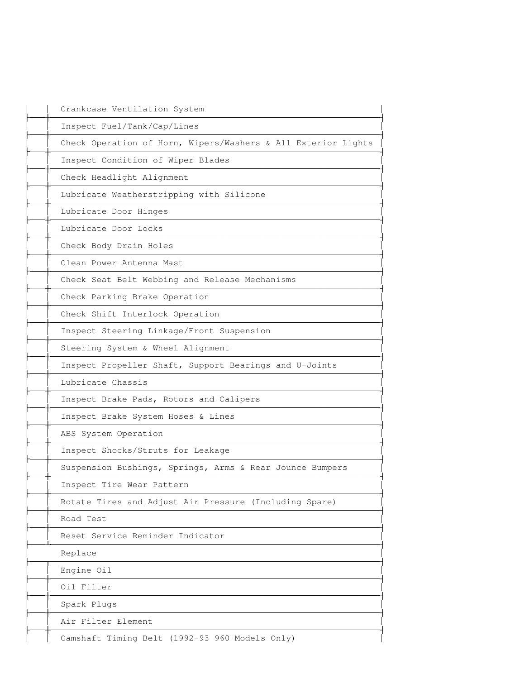| Crankcase Ventilation System                                  |
|---------------------------------------------------------------|
| Inspect Fuel/Tank/Cap/Lines                                   |
| Check Operation of Horn, Wipers/Washers & All Exterior Lights |
| Inspect Condition of Wiper Blades                             |
| Check Headlight Alignment                                     |
| Lubricate Weatherstripping with Silicone                      |
| Lubricate Door Hinges                                         |
| Lubricate Door Locks                                          |
| Check Body Drain Holes                                        |
| Clean Power Antenna Mast                                      |
| Check Seat Belt Webbing and Release Mechanisms                |
| Check Parking Brake Operation                                 |
| Check Shift Interlock Operation                               |
| Inspect Steering Linkage/Front Suspension                     |
| Steering System & Wheel Alignment                             |
| Inspect Propeller Shaft, Support Bearings and U-Joints        |
| Lubricate Chassis                                             |
| Inspect Brake Pads, Rotors and Calipers                       |
| Inspect Brake System Hoses & Lines                            |
| ABS System Operation                                          |
| Inspect Shocks/Struts for Leakage                             |
| Suspension Bushings, Springs, Arms & Rear Jounce Bumpers      |
| Inspect Tire Wear Pattern                                     |
| Rotate Tires and Adjust Air Pressure (Including Spare)        |
| Road Test                                                     |
| Reset Service Reminder Indicator                              |
| Replace                                                       |
| Engine Oil                                                    |
| Oil Filter                                                    |
| Spark Plugs                                                   |
| Air Filter Element                                            |
| Camshaft Timing Belt (1992-93 960 Models Only)                |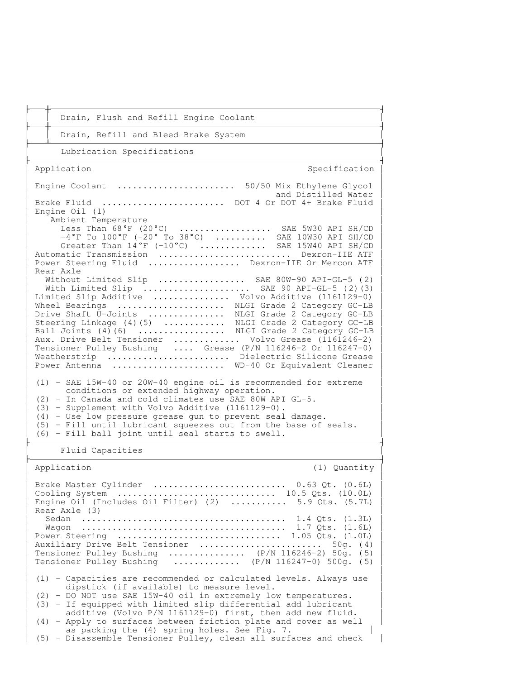$\mathcal{L} \subset \mathbb{R}^n$  Drain, Flush and Refill Engine Coolant  $\mathcal{L} \subset \mathbb{R}^n$  Drain, Refill and Bleed Brake System **Contract Contract**  Lubrication Specifications Application Specification Specification Specification Specification Specification **The Common** the contract of the contract of the contract of the contract of the contract of the contract of the contract of Engine Coolant ....................... 50/50 Mix Ethylene Glycol and Distilled Water Brake Fluid ........................ DOT 4 Or DOT 4+ Brake Fluid Engine Oil (1) **The Common** Ambient Temperature<br>Less Than 68°F (20°C) ................. SAE 5W30 API SH/CD **The Common**  $-4 °$ F To  $100 °$ F ( $-20 °$  To  $38 °$ C) .......... SAE 10W30 API SH/CD Greater Than  $14^{\circ}$ F (-10°C) ............. SAE 15W40 API SH/CD **The Common**  Automatic Transmission .......................... Dexron-IIE ATF Power Steering Fluid .................. Dexron-IIE Or Mercon ATF Rear Axle **Extending Section 2**  Without Limited Slip  $\dots\dots\dots\dots\dots$  SAE 80W-90 API-GL-5 (2) | With Limited Slip ...................... SAE 90 API-GL-5 (2)(3) **The Common**  Limited Slip Additive ............... Volvo Additive (1161129-0) Wheel Bearings .................... NLGI Grade 2 Category GC-LB **The Common** Drive Shaft U-Joints .............. NLGI Grade 2 Category GC-LB Steering Linkage (4)(5) ............ NLGI Grade 2 Category GC-LB Ball Joints (4)(6) ................ NLGI Grade 2 Category GC-LB Aux. Drive Belt Tensioner ............. Volvo Grease (1161246-2) Tensioner Pulley Bushing .... Grease (P/N 116246-2 Or 116247-0) Weatherstrip ......................... Dielectric Silicone Grease Power Antenna ...................... WD-40 Or Equivalent Cleaner **The Common** the contract of the contract of the contract of the contract of the contract of the contract of the contract of (1) - SAE 15W-40 or 20W-40 engine oil is recommended for extreme **The Common**  conditions or extended highway operation. (2) - In Canada and cold climates use SAE 80W API GL-5. (3) - Supplement with Volvo Additive (1161129-0). (4) - Use low pressure grease gun to prevent seal damage. (5) - Fill until lubricant squeezes out from the base of seals. (6) - Fill ball joint until seal starts to swell. Fluid Capacities Application (1) Quantity

 

 the contract of the contract of the contract of the contract of the contract of the contract of the contract of Brake Master Cylinder .......................... 0.63 Qt. (0.6L) Cooling System ............................... 10.5 Qts. (10.0L) Engine Oil (Includes Oil Filter) (2) ........... 5.9 Qts. (5.7L) **The Common**  Rear Axle (3) Sedan ........................................ 1.4 Qts. (1.3L) **The Common**  Wagon ........................................ 1.7 Qts. (1.6L) Power Steering ................................ 1.05 Qts. (1.0L) **The Common**  Auxiliary Drive Belt Tensioner ........................ 50g. ( 4) Tensioner Pulley Bushing ............... (P/N 116246-2) 50g. ( 5) Tensioner Pulley Bushing ............. (P/N 116247-0) 500g. ( 5) the contract of the contract of the contract of the contract of the contract of the contract of the contract of (1) - Capacities are recommended or calculated levels. Always use **The Common**  dipstick (if available) to measure level. (2) - DO NOT use SAE 15W-40 oil in extremely low temperatures. **The Common**  (3) - If equipped with limited slip differential add lubricant additive (Volvo P/N 1161129-0) first, then add new fluid. (4) - Apply to surfaces between friction plate and cover as well as packing the (4) spring holes. See Fig. 7. (5) - Disassemble Tensioner Pulley, clean all surfaces and check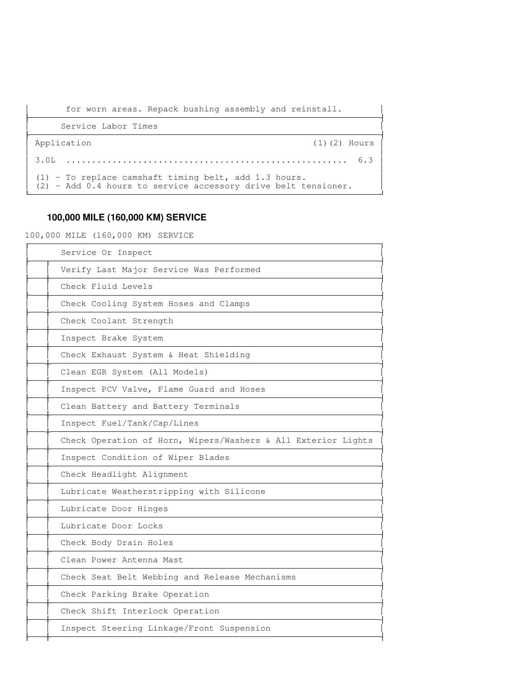for worn areas. Repack bushing assembly and reinstall.

 

 

| Service Labor Times                                                                                                       |                   |
|---------------------------------------------------------------------------------------------------------------------------|-------------------|
| Application                                                                                                               | $(1)$ $(2)$ Hours |
|                                                                                                                           |                   |
| $(1)$ - To replace camshaft timing belt, add 1.3 hours.<br>(2) - Add 0.4 hours to service accessory drive belt tensioner. |                   |

## **100,000 MILE (160,000 KM) SERVICE**

100,000 MILE (160,000 KM) SERVICE

| Service Or Inspect                                            |
|---------------------------------------------------------------|
| Verify Last Major Service Was Performed                       |
| Check Fluid Levels                                            |
| Check Cooling System Hoses and Clamps                         |
| Check Coolant Strength                                        |
| Inspect Brake System                                          |
| Check Exhaust System & Heat Shielding                         |
| Clean EGR System (All Models)                                 |
| Inspect PCV Valve, Flame Guard and Hoses                      |
| Clean Battery and Battery Terminals                           |
| Inspect Fuel/Tank/Cap/Lines                                   |
| Check Operation of Horn, Wipers/Washers & All Exterior Lights |
| Inspect Condition of Wiper Blades                             |
| Check Headlight Alignment                                     |
| Lubricate Weatherstripping with Silicone                      |
| Lubricate Door Hinges                                         |
| Lubricate Door Locks                                          |
| Check Body Drain Holes                                        |
| Clean Power Antenna Mast                                      |
| Check Seat Belt Webbing and Release Mechanisms                |
| Check Parking Brake Operation                                 |
| Check Shift Interlock Operation                               |
| Inspect Steering Linkage/Front Suspension                     |
|                                                               |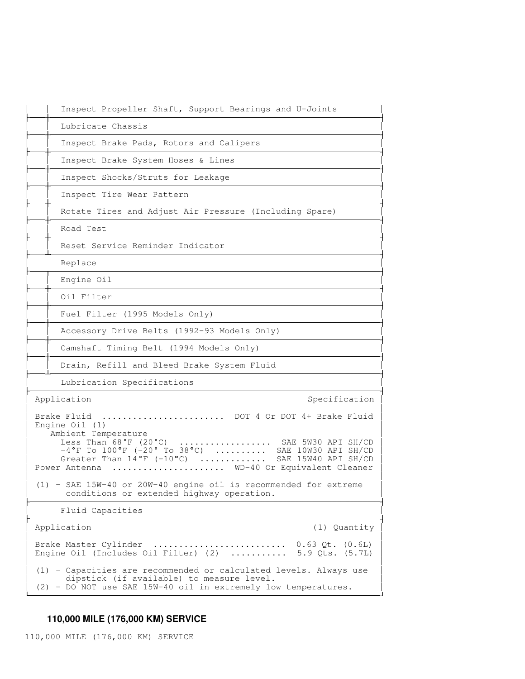| Inspect Propeller Shaft, Support Bearings and U-Joints                                                                                                                                                                                                                                                                                                                                                                                      |
|---------------------------------------------------------------------------------------------------------------------------------------------------------------------------------------------------------------------------------------------------------------------------------------------------------------------------------------------------------------------------------------------------------------------------------------------|
| Lubricate Chassis                                                                                                                                                                                                                                                                                                                                                                                                                           |
| Inspect Brake Pads, Rotors and Calipers                                                                                                                                                                                                                                                                                                                                                                                                     |
| Inspect Brake System Hoses & Lines                                                                                                                                                                                                                                                                                                                                                                                                          |
| Inspect Shocks/Struts for Leakage                                                                                                                                                                                                                                                                                                                                                                                                           |
| Inspect Tire Wear Pattern                                                                                                                                                                                                                                                                                                                                                                                                                   |
| Rotate Tires and Adjust Air Pressure (Including Spare)                                                                                                                                                                                                                                                                                                                                                                                      |
| Road Test                                                                                                                                                                                                                                                                                                                                                                                                                                   |
| Reset Service Reminder Indicator                                                                                                                                                                                                                                                                                                                                                                                                            |
| Replace                                                                                                                                                                                                                                                                                                                                                                                                                                     |
| Engine Oil                                                                                                                                                                                                                                                                                                                                                                                                                                  |
| Oil Filter                                                                                                                                                                                                                                                                                                                                                                                                                                  |
| Fuel Filter (1995 Models Only)                                                                                                                                                                                                                                                                                                                                                                                                              |
| Accessory Drive Belts (1992-93 Models Only)                                                                                                                                                                                                                                                                                                                                                                                                 |
| Camshaft Timing Belt (1994 Models Only)                                                                                                                                                                                                                                                                                                                                                                                                     |
| Drain, Refill and Bleed Brake System Fluid                                                                                                                                                                                                                                                                                                                                                                                                  |
| Lubrication Specifications                                                                                                                                                                                                                                                                                                                                                                                                                  |
| Application<br>Specification                                                                                                                                                                                                                                                                                                                                                                                                                |
| Brake Fluid  DOT 4 Or DOT 4+ Brake Fluid<br>Engine $Oil(1)$<br>Ambient Temperature<br>Less Than $68^{\circ}$ F (20 $^{\circ}$ C)<br>SAE 5W30 API SH/CD<br>$-4^{\circ}$ F To $100^{\circ}$ F (-20° To 38°C)  SAE 10W30 API SH/CD<br>Greater Than $14^{\circ}$ F (-10°C)<br>SAE 15W40 API SH/CD<br>WD-40 Or Equivalent Cleaner<br>Power Antenna<br>$\ddot{\phantom{a}}$<br>$(1)$ - SAE 15W-40 or 20W-40 engine oil is recommended for extreme |
| conditions or extended highway operation.                                                                                                                                                                                                                                                                                                                                                                                                   |
| Fluid Capacities                                                                                                                                                                                                                                                                                                                                                                                                                            |
| Application<br>(1) Quantity                                                                                                                                                                                                                                                                                                                                                                                                                 |
| Brake Master Cylinder<br>Engine Oil (Includes Oil Filter) (2)<br>5.9 Qts. (5.7L)                                                                                                                                                                                                                                                                                                                                                            |
| (1) - Capacities are recommended or calculated levels. Always use<br>dipstick (if available) to measure level.<br>(2) - DO NOT use SAE 15W-40 oil in extremely low temperatures.                                                                                                                                                                                                                                                            |

# **110,000 MILE (176,000 KM) SERVICE**

110,000 MILE (176,000 KM) SERVICE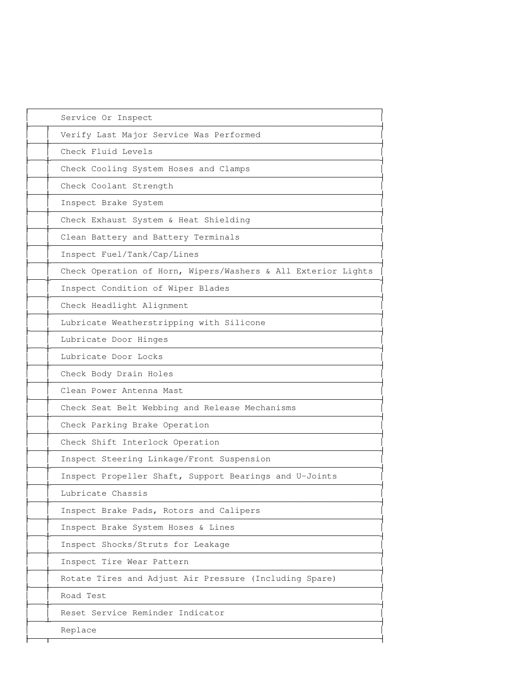| Service Or Inspect                                            |
|---------------------------------------------------------------|
| Verify Last Major Service Was Performed                       |
| Check Fluid Levels                                            |
| Check Cooling System Hoses and Clamps                         |
| Check Coolant Strength                                        |
| Inspect Brake System                                          |
| Check Exhaust System & Heat Shielding                         |
| Clean Battery and Battery Terminals                           |
| Inspect Fuel/Tank/Cap/Lines                                   |
| Check Operation of Horn, Wipers/Washers & All Exterior Lights |
| Inspect Condition of Wiper Blades                             |
| Check Headlight Alignment                                     |
| Lubricate Weatherstripping with Silicone                      |
| Lubricate Door Hinges                                         |
| Lubricate Door Locks                                          |
| Check Body Drain Holes                                        |
| Clean Power Antenna Mast                                      |
| Check Seat Belt Webbing and Release Mechanisms                |
| Check Parking Brake Operation                                 |
| Check Shift Interlock Operation                               |
| Inspect Steering Linkage/Front Suspension                     |
| Inspect Propeller Shaft, Support Bearings and U-Joints        |
| Lubricate Chassis                                             |
| Inspect Brake Pads, Rotors and Calipers                       |
| Inspect Brake System Hoses & Lines                            |
| Inspect Shocks/Struts for Leakage                             |
| Inspect Tire Wear Pattern                                     |
| Rotate Tires and Adjust Air Pressure (Including Spare)        |
| Road Test                                                     |
| Reset Service Reminder Indicator                              |
| Replace                                                       |

-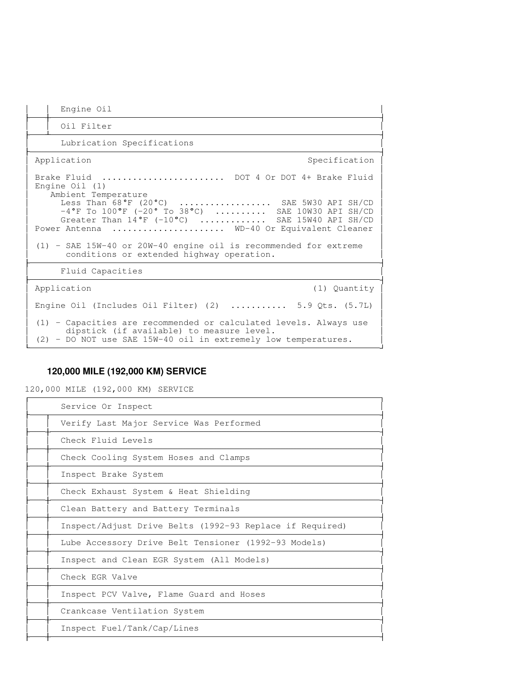| Engine Oil                                                                                                                                                                                                                                                                                                                                                                                                                          |  |
|-------------------------------------------------------------------------------------------------------------------------------------------------------------------------------------------------------------------------------------------------------------------------------------------------------------------------------------------------------------------------------------------------------------------------------------|--|
| Oil Filter                                                                                                                                                                                                                                                                                                                                                                                                                          |  |
| Lubrication Specifications                                                                                                                                                                                                                                                                                                                                                                                                          |  |
| Specification<br>Application                                                                                                                                                                                                                                                                                                                                                                                                        |  |
| Brake Fluid  DOT 4 Or DOT 4+ Brake Fluid<br>Engine $Oil(1)$<br>Ambient Temperature<br>Less Than 68°F (20°C)  SAE 5W30 API SH/CD<br>$-4^{\circ}$ F To $100^{\circ}$ F (-20° To 38°C)  SAE 10W30 API SH/CD<br>Greater Than $14^{\circ}$ F (-10°C)  SAE 15W40 API SH/CD<br>Power Antenna  WD-40 Or Equivalent Cleaner<br>(1) - SAE 15W-40 or 20W-40 engine oil is recommended for extreme<br>conditions or extended highway operation. |  |
| Fluid Capacities                                                                                                                                                                                                                                                                                                                                                                                                                    |  |
| Application<br>(1) Quantity                                                                                                                                                                                                                                                                                                                                                                                                         |  |
| Engine Oil (Includes Oil Filter) (2) $\ldots$ 5.9 Qts. (5.7L)                                                                                                                                                                                                                                                                                                                                                                       |  |
| (1) - Capacities are recommended or calculated levels. Always use<br>dipstick (if available) to measure level.<br>(2) - DO NOT use SAE 15W-40 oil in extremely low temperatures.                                                                                                                                                                                                                                                    |  |

# **120,000 MILE (192,000 KM) SERVICE**

120,000 MILE (192,000 KM) SERVICE

| Service Or Inspect                                       |
|----------------------------------------------------------|
| Verify Last Major Service Was Performed                  |
| Check Fluid Levels                                       |
| Check Cooling System Hoses and Clamps                    |
| Inspect Brake System                                     |
| Check Exhaust System & Heat Shielding                    |
| Clean Battery and Battery Terminals                      |
| Inspect/Adjust Drive Belts (1992-93 Replace if Required) |
| Lube Accessory Drive Belt Tensioner (1992-93 Models)     |
| Inspect and Clean EGR System (All Models)                |
| Check EGR Valve                                          |
| Inspect PCV Valve, Flame Guard and Hoses                 |
| Crankcase Ventilation System                             |
| Inspect Fuel/Tank/Cap/Lines                              |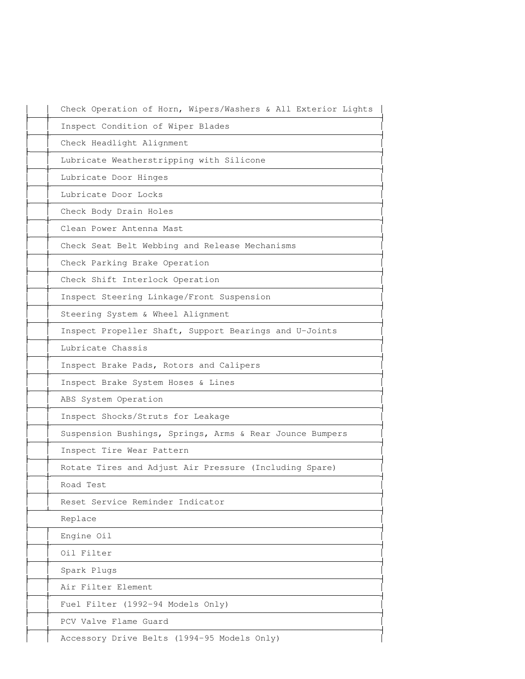| Check Operation of Horn, Wipers/Washers & All Exterior Lights |
|---------------------------------------------------------------|
| Inspect Condition of Wiper Blades                             |
| Check Headlight Alignment                                     |
| Lubricate Weatherstripping with Silicone                      |
| Lubricate Door Hinges                                         |
| Lubricate Door Locks                                          |
| Check Body Drain Holes                                        |
| Clean Power Antenna Mast                                      |
| Check Seat Belt Webbing and Release Mechanisms                |
| Check Parking Brake Operation                                 |
| Check Shift Interlock Operation                               |
| Inspect Steering Linkage/Front Suspension                     |
| Steering System & Wheel Alignment                             |
| Inspect Propeller Shaft, Support Bearings and U-Joints        |
| Lubricate Chassis                                             |
| Inspect Brake Pads, Rotors and Calipers                       |
| Inspect Brake System Hoses & Lines                            |
| ABS System Operation                                          |
| Inspect Shocks/Struts for Leakage                             |
| Suspension Bushings, Springs, Arms & Rear Jounce Bumpers      |
| Inspect Tire Wear Pattern                                     |
| Rotate Tires and Adjust Air Pressure (Including Spare)        |
| Road Test                                                     |
| Reset Service Reminder Indicator                              |
| Replace                                                       |
| Engine Oil                                                    |
| Oil Filter                                                    |
| Spark Plugs                                                   |
| Air Filter Element                                            |
| Fuel Filter (1992-94 Models Only)                             |
| PCV Valve Flame Guard                                         |
| Accessory Drive Belts (1994-95 Models Only)                   |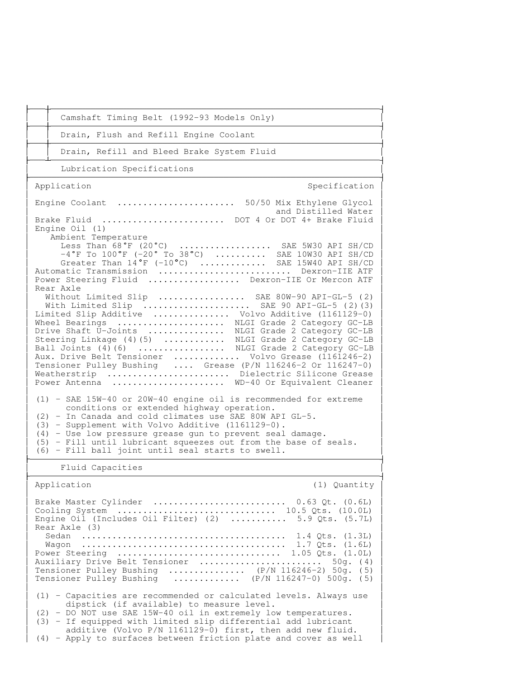| Camshaft Timing Belt (1992-93 Models Only)                                                                                                                                                                                                                                                                                                                                                                                                                                                                                                                                                                                                                                                                                                                                                                                                                                                                                                                                                                                                                                                                                                                                                                                                                                                                                           |
|--------------------------------------------------------------------------------------------------------------------------------------------------------------------------------------------------------------------------------------------------------------------------------------------------------------------------------------------------------------------------------------------------------------------------------------------------------------------------------------------------------------------------------------------------------------------------------------------------------------------------------------------------------------------------------------------------------------------------------------------------------------------------------------------------------------------------------------------------------------------------------------------------------------------------------------------------------------------------------------------------------------------------------------------------------------------------------------------------------------------------------------------------------------------------------------------------------------------------------------------------------------------------------------------------------------------------------------|
| Drain, Flush and Refill Engine Coolant                                                                                                                                                                                                                                                                                                                                                                                                                                                                                                                                                                                                                                                                                                                                                                                                                                                                                                                                                                                                                                                                                                                                                                                                                                                                                               |
| Drain, Refill and Bleed Brake System Fluid                                                                                                                                                                                                                                                                                                                                                                                                                                                                                                                                                                                                                                                                                                                                                                                                                                                                                                                                                                                                                                                                                                                                                                                                                                                                                           |
| Lubrication Specifications                                                                                                                                                                                                                                                                                                                                                                                                                                                                                                                                                                                                                                                                                                                                                                                                                                                                                                                                                                                                                                                                                                                                                                                                                                                                                                           |
| Application<br>Specification                                                                                                                                                                                                                                                                                                                                                                                                                                                                                                                                                                                                                                                                                                                                                                                                                                                                                                                                                                                                                                                                                                                                                                                                                                                                                                         |
| Engine Coolant  50/50 Mix Ethylene Glycol<br>and Distilled Water<br>Brake Fluid  DOT 4 Or DOT 4+ Brake Fluid<br>Engine $Oil(1)$<br>Ambient Temperature<br>Less Than $68^{\circ}F$ (20°C)  SAE 5W30 API SH/CD $-4^{\circ}F$ To $100^{\circ}F$ (-20° To 38°C)  SAE 10W30 API SH/CD Greater Than $14^{\circ}F$ (-10°C)  SAE 15W40 API SH/CD<br>Automatic Transmission  Dexron-IIE ATF<br>Power Steering Fluid  Dexron-IIE Or Mercon ATF<br>Rear Axle<br>Without Limited Slip  SAE 80W-90 API-GL-5 (2)<br>With Limited Slip  SAE 90 API-GL-5 (2) (3)<br>Limited Slip Additive  Volvo Additive (1161129-0)<br>Wheel Bearings  NLGI Grade 2 Category GC-LB<br>Drive Shaft U-Joints  NLGI Grade 2 Category GC-LB<br>Steering Linkage (4)(5)  NLGI Grade 2 Category GC-LB<br>Ball Joints (4)(6)  NLGI Grade 2 Category GC-LB<br>Aux. Drive Belt Tensioner  Volvo Grease (1161246-2)<br>Tensioner Pulley Bushing  Grease (P/N 116246-2 Or 116247-0)<br>Weatherstrip  Dielectric Silicone Grease<br>Power Antenna<br>WD-40 Or Equivalent Cleaner<br>(1) - SAE 15W-40 or 20W-40 engine oil is recommended for extreme<br>conditions or extended highway operation.<br>(2) - In Canada and cold climates use SAE 80W API GL-5.<br>(3) - Supplement with Volvo Additive (1161129-0).<br>(4) - Use low pressure grease gun to prevent seal damage. |
| (5) - Fill until lubricant squeezes out from the base of seals.<br>(6) - Fill ball joint until seal starts to swell.                                                                                                                                                                                                                                                                                                                                                                                                                                                                                                                                                                                                                                                                                                                                                                                                                                                                                                                                                                                                                                                                                                                                                                                                                 |
| Fluid Capacities                                                                                                                                                                                                                                                                                                                                                                                                                                                                                                                                                                                                                                                                                                                                                                                                                                                                                                                                                                                                                                                                                                                                                                                                                                                                                                                     |
| Application<br>(1) Quantity                                                                                                                                                                                                                                                                                                                                                                                                                                                                                                                                                                                                                                                                                                                                                                                                                                                                                                                                                                                                                                                                                                                                                                                                                                                                                                          |
| Brake Master Cylinder  0.63 Qt. (0.6L)<br>Cooling System  10.5 Qts. (10.0L)<br>Engine Oil (Includes Oil Filter) (2)  5.9 Qts. $(5.7L)$<br>Rear Axle (3)                                                                                                                                                                                                                                                                                                                                                                                                                                                                                                                                                                                                                                                                                                                                                                                                                                                                                                                                                                                                                                                                                                                                                                              |
| Power Steering  1.05 Qts. $(1.0L)$<br>Auxiliary Drive Belt Tensioner  50g. (4)<br>Tensioner Pulley Bushing  (P/N 116246-2) 50g. (5)<br>Tensioner Pulley Bushing $(P/N 116247-0) 500q. (5)$                                                                                                                                                                                                                                                                                                                                                                                                                                                                                                                                                                                                                                                                                                                                                                                                                                                                                                                                                                                                                                                                                                                                           |
| (1) - Capacities are recommended or calculated levels. Always use<br>dipstick (if available) to measure level.<br>(2) - DO NOT use SAE 15W-40 oil in extremely low temperatures.<br>(3) - If equipped with limited slip differential add lubricant<br>additive (Volvo P/N 1161129-0) first, then add new fluid.                                                                                                                                                                                                                                                                                                                                                                                                                                                                                                                                                                                                                                                                                                                                                                                                                                                                                                                                                                                                                      |

(4) - Apply to surfaces between friction plate and cover as well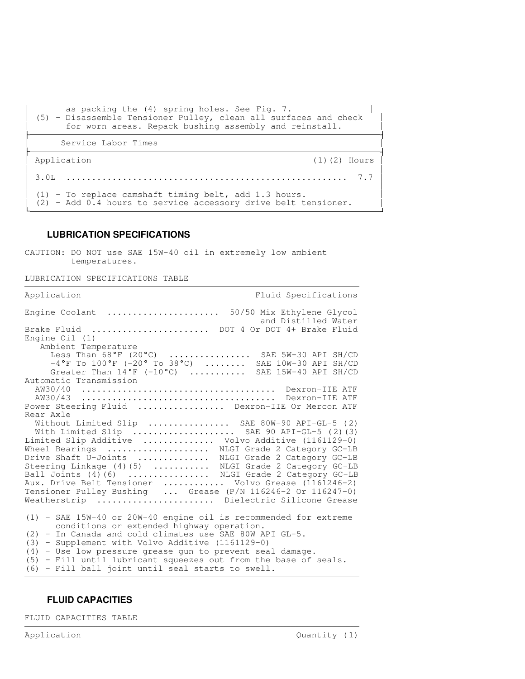```

      as packing the (4) spring holes. See Fig. 7. 

  (5) - Disassemble Tensioner Pulley, clean all surfaces and check 

      for worn areas. Repack bushing assembly and reinstall. 

      Service Labor Times 

 Application (1)(2) Hours

the contract of the contract of the contract of the contract of the contract of the contract of the contract of
The Common
  3.0L ....................................................... 7.7 

the contract of the contract of the contract of the contract of the contract of the contract of the contract of

  (1) - To replace camshaft timing belt, add 1.3 hours. 

  (2) - Add 0.4 hours to service accessory drive belt tensioner.
```
#### **LUBRICATION SPECIFICATIONS**

CAUTION: DO NOT use SAE 15W-40 oil in extremely low ambient temperatures.

LUBRICATION SPECIFICATIONS TABLE

Application **Fluid Specifications** Engine Coolant ...................... 50/50 Mix Ethylene Glycol and Distilled Water Brake Fluid ....................... DOT 4 Or DOT 4+ Brake Fluid Engine Oil (1) Ambient Temperature Less Than 68°F (20°C) ................. SAE 5W-30 API SH/CD  $-4^{\circ}$ F To  $100^{\circ}$ F (-20° To 38°C) ........ SAE  $10W-30$  API SH/CD Greater Than 14°F (-10°C) .......... SAE 15W-40 API SH/CD Automatic Transmission AW30/40 ...................................... Dexron-IIE ATF AW30/43 ...................................... Dexron-IIE ATF Power Steering Fluid ................. Dexron-IIE Or Mercon ATF Rear Axle Without Limited Slip ................ SAE 80W-90 API-GL-5 (2) With Limited Slip .................... SAE 90 API-GL-5 (2)(3) Limited Slip Additive .............. Volvo Additive (1161129-0) Wheel Bearings .................... NLGI Grade 2 Category GC-LB Drive Shaft U-Joints .............. NLGI Grade 2 Category GC-LB Steering Linkage (4)(5) ........... NLGI Grade 2 Category GC-LB Ball Joints (4)(6) ............... NLGI Grade 2 Category GC-LB Aux. Drive Belt Tensioner ............ Volvo Grease (1161246-2) Tensioner Pulley Bushing ... Grease (P/N 116246-2 Or 116247-0) Weatherstrip ....................... Dielectric Silicone Grease (1) - SAE 15W-40 or 20W-40 engine oil is recommended for extreme conditions or extended highway operation. (2) - In Canada and cold climates use SAE 80W API GL-5. (3) - Supplement with Volvo Additive (1161129-0) (4) - Use low pressure grease gun to prevent seal damage. (5) - Fill until lubricant squeezes out from the base of seals. (6) - Fill ball joint until seal starts to swell.

## **FLUID CAPACITIES**

FLUID CAPACITIES TABLE